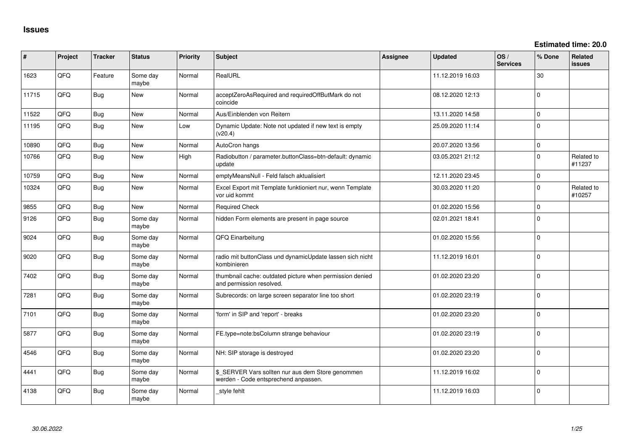**Estimated time: 20.0**

| #     | Project | <b>Tracker</b> | <b>Status</b>     | <b>Priority</b> | <b>Subject</b>                                                                            | <b>Assignee</b> | <b>Updated</b>   | OS/<br><b>Services</b> | % Done      | Related<br><b>issues</b> |
|-------|---------|----------------|-------------------|-----------------|-------------------------------------------------------------------------------------------|-----------------|------------------|------------------------|-------------|--------------------------|
| 1623  | QFQ     | Feature        | Some day<br>maybe | Normal          | RealURL                                                                                   |                 | 11.12.2019 16:03 |                        | 30          |                          |
| 11715 | QFQ     | <b>Bug</b>     | <b>New</b>        | Normal          | acceptZeroAsRequired and requiredOffButMark do not<br>coincide                            |                 | 08.12.2020 12:13 |                        | $\Omega$    |                          |
| 11522 | QFQ     | <b>Bug</b>     | <b>New</b>        | Normal          | Aus/Einblenden von Reitern                                                                |                 | 13.11.2020 14:58 |                        | $\Omega$    |                          |
| 11195 | QFQ     | <b>Bug</b>     | <b>New</b>        | Low             | Dynamic Update: Note not updated if new text is empty<br>(v20.4)                          |                 | 25.09.2020 11:14 |                        | $\Omega$    |                          |
| 10890 | QFQ     | <b>Bug</b>     | New               | Normal          | AutoCron hangs                                                                            |                 | 20.07.2020 13:56 |                        | $\Omega$    |                          |
| 10766 | QFQ     | <b>Bug</b>     | <b>New</b>        | High            | Radiobutton / parameter.buttonClass=btn-default: dynamic<br>update                        |                 | 03.05.2021 21:12 |                        | $\Omega$    | Related to<br>#11237     |
| 10759 | QFQ     | <b>Bug</b>     | <b>New</b>        | Normal          | emptyMeansNull - Feld falsch aktualisiert                                                 |                 | 12.11.2020 23:45 |                        | $\Omega$    |                          |
| 10324 | QFQ     | <b>Bug</b>     | <b>New</b>        | Normal          | Excel Export mit Template funktioniert nur, wenn Template<br>vor uid kommt                |                 | 30.03.2020 11:20 |                        | $\Omega$    | Related to<br>#10257     |
| 9855  | QFQ     | <b>Bug</b>     | <b>New</b>        | Normal          | <b>Required Check</b>                                                                     |                 | 01.02.2020 15:56 |                        | $\Omega$    |                          |
| 9126  | QFQ     | <b>Bug</b>     | Some day<br>maybe | Normal          | hidden Form elements are present in page source                                           |                 | 02.01.2021 18:41 |                        | $\Omega$    |                          |
| 9024  | QFQ     | <b>Bug</b>     | Some day<br>maybe | Normal          | QFQ Einarbeitung                                                                          |                 | 01.02.2020 15:56 |                        | $\Omega$    |                          |
| 9020  | QFQ     | <b>Bug</b>     | Some day<br>maybe | Normal          | radio mit buttonClass und dynamicUpdate lassen sich nicht<br>kombinieren                  |                 | 11.12.2019 16:01 |                        | $\Omega$    |                          |
| 7402  | QFQ     | <b>Bug</b>     | Some day<br>maybe | Normal          | thumbnail cache: outdated picture when permission denied<br>and permission resolved.      |                 | 01.02.2020 23:20 |                        | $\Omega$    |                          |
| 7281  | QFQ     | <b>Bug</b>     | Some day<br>maybe | Normal          | Subrecords: on large screen separator line too short                                      |                 | 01.02.2020 23:19 |                        | $\Omega$    |                          |
| 7101  | QFQ     | <b>Bug</b>     | Some day<br>maybe | Normal          | 'form' in SIP and 'report' - breaks                                                       |                 | 01.02.2020 23:20 |                        | 0           |                          |
| 5877  | QFQ     | <b>Bug</b>     | Some day<br>maybe | Normal          | FE.type=note:bsColumn strange behaviour                                                   |                 | 01.02.2020 23:19 |                        | $\mathbf 0$ |                          |
| 4546  | QFQ     | <b>Bug</b>     | Some day<br>maybe | Normal          | NH: SIP storage is destroyed                                                              |                 | 01.02.2020 23:20 |                        | $\Omega$    |                          |
| 4441  | QFQ     | <b>Bug</b>     | Some day<br>maybe | Normal          | \$_SERVER Vars sollten nur aus dem Store genommen<br>werden - Code entsprechend anpassen. |                 | 11.12.2019 16:02 |                        | $\Omega$    |                          |
| 4138  | QFQ     | <b>Bug</b>     | Some day<br>maybe | Normal          | style fehlt                                                                               |                 | 11.12.2019 16:03 |                        | $\Omega$    |                          |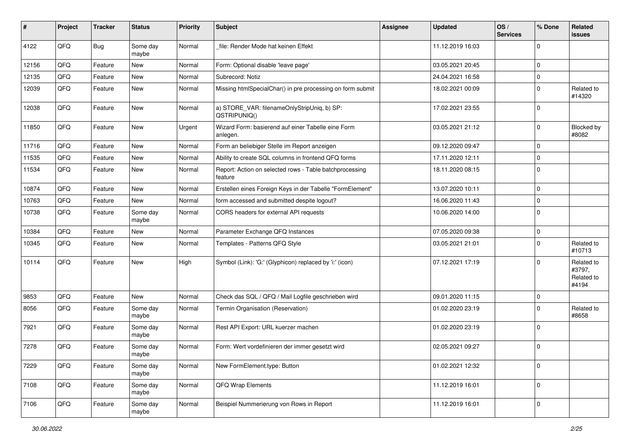| #     | Project | <b>Tracker</b> | <b>Status</b>     | <b>Priority</b> | <b>Subject</b>                                                     | Assignee | <b>Updated</b>   | OS/<br><b>Services</b> | % Done      | Related<br>issues                           |
|-------|---------|----------------|-------------------|-----------------|--------------------------------------------------------------------|----------|------------------|------------------------|-------------|---------------------------------------------|
| 4122  | QFQ     | <b>Bug</b>     | Some day<br>maybe | Normal          | file: Render Mode hat keinen Effekt                                |          | 11.12.2019 16:03 |                        | $\Omega$    |                                             |
| 12156 | QFQ     | Feature        | New               | Normal          | Form: Optional disable 'leave page'                                |          | 03.05.2021 20:45 |                        | $\mathbf 0$ |                                             |
| 12135 | QFQ     | Feature        | <b>New</b>        | Normal          | Subrecord: Notiz                                                   |          | 24.04.2021 16:58 |                        | $\Omega$    |                                             |
| 12039 | QFQ     | Feature        | New               | Normal          | Missing htmlSpecialChar() in pre processing on form submit         |          | 18.02.2021 00:09 |                        | $\Omega$    | Related to<br>#14320                        |
| 12038 | QFQ     | Feature        | New               | Normal          | a) STORE_VAR: filenameOnlyStripUniq, b) SP:<br>QSTRIPUNIQ()        |          | 17.02.2021 23:55 |                        | $\mathbf 0$ |                                             |
| 11850 | QFQ     | Feature        | <b>New</b>        | Urgent          | Wizard Form: basierend auf einer Tabelle eine Form<br>anlegen.     |          | 03.05.2021 21:12 |                        | $\mathbf 0$ | Blocked by<br>#8082                         |
| 11716 | QFQ     | Feature        | <b>New</b>        | Normal          | Form an beliebiger Stelle im Report anzeigen                       |          | 09.12.2020 09:47 |                        | $\Omega$    |                                             |
| 11535 | QFQ     | Feature        | New               | Normal          | Ability to create SQL columns in frontend QFQ forms                |          | 17.11.2020 12:11 |                        | $\mathbf 0$ |                                             |
| 11534 | QFQ     | Feature        | New               | Normal          | Report: Action on selected rows - Table batchprocessing<br>feature |          | 18.11.2020 08:15 |                        | $\Omega$    |                                             |
| 10874 | QFQ     | Feature        | <b>New</b>        | Normal          | Erstellen eines Foreign Keys in der Tabelle "FormElement"          |          | 13.07.2020 10:11 |                        | $\mathbf 0$ |                                             |
| 10763 | QFQ     | Feature        | <b>New</b>        | Normal          | form accessed and submitted despite logout?                        |          | 16.06.2020 11:43 |                        | $\mathbf 0$ |                                             |
| 10738 | QFQ     | Feature        | Some day<br>maybe | Normal          | CORS headers for external API requests                             |          | 10.06.2020 14:00 |                        | $\mathbf 0$ |                                             |
| 10384 | QFQ     | Feature        | New               | Normal          | Parameter Exchange QFQ Instances                                   |          | 07.05.2020 09:38 |                        | $\mathbf 0$ |                                             |
| 10345 | QFQ     | Feature        | New               | Normal          | Templates - Patterns QFQ Style                                     |          | 03.05.2021 21:01 |                        | $\mathbf 0$ | Related to<br>#10713                        |
| 10114 | QFQ     | Feature        | <b>New</b>        | High            | Symbol (Link): 'G:' (Glyphicon) replaced by 'i:' (icon)            |          | 07.12.2021 17:19 |                        | $\Omega$    | Related to<br>#3797,<br>Related to<br>#4194 |
| 9853  | QFQ     | Feature        | <b>New</b>        | Normal          | Check das SQL / QFQ / Mail Logfile geschrieben wird                |          | 09.01.2020 11:15 |                        | $\mathbf 0$ |                                             |
| 8056  | QFQ     | Feature        | Some day<br>maybe | Normal          | Termin Organisation (Reservation)                                  |          | 01.02.2020 23:19 |                        | $\Omega$    | Related to<br>#8658                         |
| 7921  | QFQ     | Feature        | Some day<br>maybe | Normal          | Rest API Export: URL kuerzer machen                                |          | 01.02.2020 23:19 |                        | $\Omega$    |                                             |
| 7278  | QFQ     | Feature        | Some day<br>maybe | Normal          | Form: Wert vordefinieren der immer gesetzt wird                    |          | 02.05.2021 09:27 |                        | 0           |                                             |
| 7229  | QFQ     | Feature        | Some day<br>maybe | Normal          | New FormElement.type: Button                                       |          | 01.02.2021 12:32 |                        | $\mathbf 0$ |                                             |
| 7108  | QFQ     | Feature        | Some day<br>maybe | Normal          | QFQ Wrap Elements                                                  |          | 11.12.2019 16:01 |                        | $\mathbf 0$ |                                             |
| 7106  | QFQ     | Feature        | Some day<br>maybe | Normal          | Beispiel Nummerierung von Rows in Report                           |          | 11.12.2019 16:01 |                        | 0           |                                             |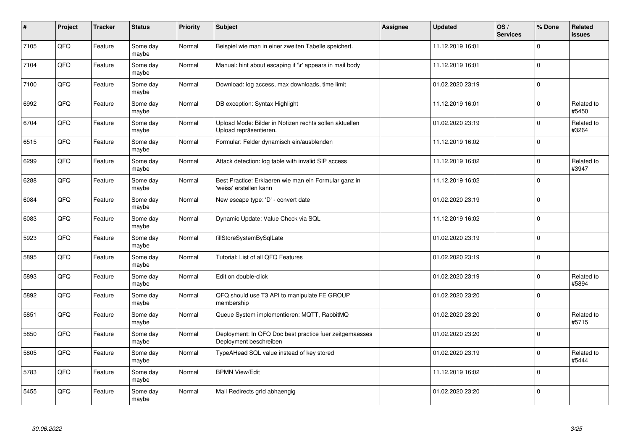| $\pmb{\#}$ | Project | <b>Tracker</b> | <b>Status</b>     | <b>Priority</b> | <b>Subject</b>                                                                    | <b>Assignee</b> | <b>Updated</b>   | OS/<br><b>Services</b> | % Done      | Related<br>issues   |
|------------|---------|----------------|-------------------|-----------------|-----------------------------------------------------------------------------------|-----------------|------------------|------------------------|-------------|---------------------|
| 7105       | QFQ     | Feature        | Some day<br>maybe | Normal          | Beispiel wie man in einer zweiten Tabelle speichert.                              |                 | 11.12.2019 16:01 |                        | $\Omega$    |                     |
| 7104       | QFQ     | Feature        | Some day<br>maybe | Normal          | Manual: hint about escaping if '\r' appears in mail body                          |                 | 11.12.2019 16:01 |                        | $\Omega$    |                     |
| 7100       | QFQ     | Feature        | Some day<br>maybe | Normal          | Download: log access, max downloads, time limit                                   |                 | 01.02.2020 23:19 |                        | l 0         |                     |
| 6992       | QFQ     | Feature        | Some day<br>maybe | Normal          | DB exception: Syntax Highlight                                                    |                 | 11.12.2019 16:01 |                        | $\Omega$    | Related to<br>#5450 |
| 6704       | QFQ     | Feature        | Some day<br>maybe | Normal          | Upload Mode: Bilder in Notizen rechts sollen aktuellen<br>Upload repräsentieren.  |                 | 01.02.2020 23:19 |                        | l O         | Related to<br>#3264 |
| 6515       | QFQ     | Feature        | Some day<br>maybe | Normal          | Formular: Felder dynamisch ein/ausblenden                                         |                 | 11.12.2019 16:02 |                        | 0 I         |                     |
| 6299       | QFQ     | Feature        | Some day<br>maybe | Normal          | Attack detection: log table with invalid SIP access                               |                 | 11.12.2019 16:02 |                        | l 0         | Related to<br>#3947 |
| 6288       | QFQ     | Feature        | Some day<br>maybe | Normal          | Best Practice: Erklaeren wie man ein Formular ganz in<br>'weiss' erstellen kann   |                 | 11.12.2019 16:02 |                        | $\Omega$    |                     |
| 6084       | QFQ     | Feature        | Some day<br>maybe | Normal          | New escape type: 'D' - convert date                                               |                 | 01.02.2020 23:19 |                        | $\Omega$    |                     |
| 6083       | QFQ     | Feature        | Some day<br>maybe | Normal          | Dynamic Update: Value Check via SQL                                               |                 | 11.12.2019 16:02 |                        | $\Omega$    |                     |
| 5923       | QFQ     | Feature        | Some day<br>maybe | Normal          | fillStoreSystemBySqlLate                                                          |                 | 01.02.2020 23:19 |                        | $\mathbf 0$ |                     |
| 5895       | QFQ     | Feature        | Some day<br>maybe | Normal          | Tutorial: List of all QFQ Features                                                |                 | 01.02.2020 23:19 |                        | l 0         |                     |
| 5893       | QFQ     | Feature        | Some day<br>maybe | Normal          | Edit on double-click                                                              |                 | 01.02.2020 23:19 |                        | $\Omega$    | Related to<br>#5894 |
| 5892       | QFQ     | Feature        | Some day<br>maybe | Normal          | QFQ should use T3 API to manipulate FE GROUP<br>membership                        |                 | 01.02.2020 23:20 |                        | $\mathbf 0$ |                     |
| 5851       | QFQ     | Feature        | Some day<br>maybe | Normal          | Queue System implementieren: MQTT, RabbitMQ                                       |                 | 01.02.2020 23:20 |                        | $\Omega$    | Related to<br>#5715 |
| 5850       | QFQ     | Feature        | Some day<br>maybe | Normal          | Deployment: In QFQ Doc best practice fuer zeitgemaesses<br>Deployment beschreiben |                 | 01.02.2020 23:20 |                        | $\Omega$    |                     |
| 5805       | QFQ     | Feature        | Some day<br>maybe | Normal          | TypeAHead SQL value instead of key stored                                         |                 | 01.02.2020 23:19 |                        | $\Omega$    | Related to<br>#5444 |
| 5783       | QFQ     | Feature        | Some day<br>maybe | Normal          | <b>BPMN View/Edit</b>                                                             |                 | 11.12.2019 16:02 |                        | l o         |                     |
| 5455       | QFQ     | Feature        | Some day<br>maybe | Normal          | Mail Redirects grld abhaengig                                                     |                 | 01.02.2020 23:20 |                        | $\Omega$    |                     |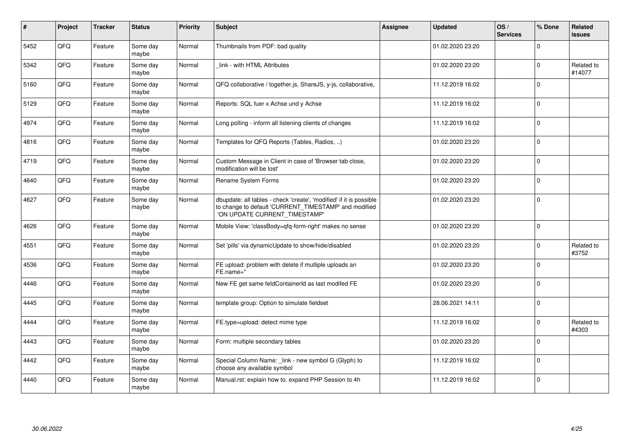| #    | <b>Project</b> | <b>Tracker</b> | <b>Status</b>     | <b>Priority</b> | <b>Subject</b>                                                                                                                                                | Assignee | <b>Updated</b>   | OS/<br><b>Services</b> | % Done   | Related<br><b>issues</b> |
|------|----------------|----------------|-------------------|-----------------|---------------------------------------------------------------------------------------------------------------------------------------------------------------|----------|------------------|------------------------|----------|--------------------------|
| 5452 | QFQ            | Feature        | Some day<br>maybe | Normal          | Thumbnails from PDF: bad quality                                                                                                                              |          | 01.02.2020 23:20 |                        | $\Omega$ |                          |
| 5342 | QFQ            | Feature        | Some day<br>maybe | Normal          | link - with HTML Attributes                                                                                                                                   |          | 01.02.2020 23:20 |                        | $\Omega$ | Related to<br>#14077     |
| 5160 | QFQ            | Feature        | Some day<br>maybe | Normal          | QFQ collaborative / together.js, ShareJS, y-js, collaborative,                                                                                                |          | 11.12.2019 16:02 |                        | $\Omega$ |                          |
| 5129 | QFQ            | Feature        | Some day<br>maybe | Normal          | Reports: SQL fuer x Achse und y Achse                                                                                                                         |          | 11.12.2019 16:02 |                        | $\Omega$ |                          |
| 4974 | QFQ            | Feature        | Some day<br>maybe | Normal          | Long polling - inform all listening clients of changes                                                                                                        |          | 11.12.2019 16:02 |                        | $\Omega$ |                          |
| 4816 | QFQ            | Feature        | Some day<br>maybe | Normal          | Templates for QFQ Reports (Tables, Radios, )                                                                                                                  |          | 01.02.2020 23:20 |                        | $\Omega$ |                          |
| 4719 | QFQ            | Feature        | Some day<br>maybe | Normal          | Custom Message in Client in case of 'Browser tab close,<br>modification will be lost'                                                                         |          | 01.02.2020 23:20 |                        | $\Omega$ |                          |
| 4640 | QFQ            | Feature        | Some day<br>maybe | Normal          | Rename System Forms                                                                                                                                           |          | 01.02.2020 23:20 |                        | $\Omega$ |                          |
| 4627 | QFQ            | Feature        | Some day<br>maybe | Normal          | dbupdate: all tables - check 'create', 'modified' if it is possible<br>to change to default 'CURRENT_TIMESTAMP' and modified<br>'ON UPDATE CURRENT_TIMESTAMP' |          | 01.02.2020 23:20 |                        | $\Omega$ |                          |
| 4626 | QFQ            | Feature        | Some day<br>maybe | Normal          | Mobile View: 'classBody=qfq-form-right' makes no sense                                                                                                        |          | 01.02.2020 23:20 |                        | $\Omega$ |                          |
| 4551 | QFQ            | Feature        | Some day<br>maybe | Normal          | Set 'pills' via dynamicUpdate to show/hide/disabled                                                                                                           |          | 01.02.2020 23:20 |                        | $\Omega$ | Related to<br>#3752      |
| 4536 | QFQ            | Feature        | Some day<br>maybe | Normal          | FE upload: problem with delete if mutliple uploads an<br>FE.name="                                                                                            |          | 01.02.2020 23:20 |                        | $\Omega$ |                          |
| 4446 | QFQ            | Feature        | Some day<br>maybe | Normal          | New FE get same feldContainerId as last modifed FE                                                                                                            |          | 01.02.2020 23:20 |                        | $\Omega$ |                          |
| 4445 | QFQ            | Feature        | Some day<br>maybe | Normal          | template group: Option to simulate fieldset                                                                                                                   |          | 28.06.2021 14:11 |                        | $\Omega$ |                          |
| 4444 | QFQ            | Feature        | Some day<br>maybe | Normal          | FE.type=upload: detect mime type                                                                                                                              |          | 11.12.2019 16:02 |                        | $\Omega$ | Related to<br>#4303      |
| 4443 | QFQ            | Feature        | Some day<br>maybe | Normal          | Form: multiple secondary tables                                                                                                                               |          | 01.02.2020 23:20 |                        | $\Omega$ |                          |
| 4442 | QFQ            | Feature        | Some day<br>maybe | Normal          | Special Column Name: link - new symbol G (Glyph) to<br>choose any available symbol                                                                            |          | 11.12.2019 16:02 |                        | $\Omega$ |                          |
| 4440 | QFQ            | Feature        | Some day<br>maybe | Normal          | Manual.rst: explain how to. expand PHP Session to 4h                                                                                                          |          | 11.12.2019 16:02 |                        | $\Omega$ |                          |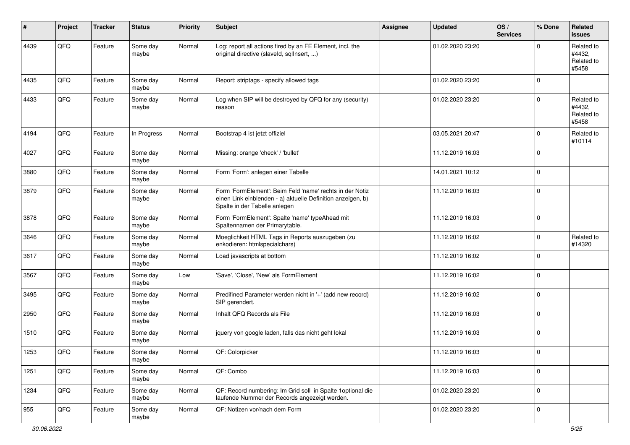| $\sharp$ | Project | <b>Tracker</b> | <b>Status</b>     | <b>Priority</b> | <b>Subject</b>                                                                                                                                           | <b>Assignee</b> | <b>Updated</b>   | OS/<br><b>Services</b> | % Done      | Related<br><b>issues</b>                    |
|----------|---------|----------------|-------------------|-----------------|----------------------------------------------------------------------------------------------------------------------------------------------------------|-----------------|------------------|------------------------|-------------|---------------------------------------------|
| 4439     | QFQ     | Feature        | Some day<br>maybe | Normal          | Log: report all actions fired by an FE Element, incl. the<br>original directive (slaveld, sqlInsert, )                                                   |                 | 01.02.2020 23:20 |                        | $\Omega$    | Related to<br>#4432,<br>Related to<br>#5458 |
| 4435     | QFQ     | Feature        | Some day<br>maybe | Normal          | Report: striptags - specify allowed tags                                                                                                                 |                 | 01.02.2020 23:20 |                        | $\mathbf 0$ |                                             |
| 4433     | QFQ     | Feature        | Some day<br>maybe | Normal          | Log when SIP will be destroyed by QFQ for any (security)<br>reason                                                                                       |                 | 01.02.2020 23:20 |                        | $\Omega$    | Related to<br>#4432,<br>Related to<br>#5458 |
| 4194     | QFQ     | Feature        | In Progress       | Normal          | Bootstrap 4 ist jetzt offiziel                                                                                                                           |                 | 03.05.2021 20:47 |                        | $\Omega$    | Related to<br>#10114                        |
| 4027     | QFQ     | Feature        | Some day<br>maybe | Normal          | Missing: orange 'check' / 'bullet'                                                                                                                       |                 | 11.12.2019 16:03 |                        | $\mathbf 0$ |                                             |
| 3880     | QFQ     | Feature        | Some day<br>maybe | Normal          | Form 'Form': anlegen einer Tabelle                                                                                                                       |                 | 14.01.2021 10:12 |                        | 0           |                                             |
| 3879     | QFQ     | Feature        | Some day<br>maybe | Normal          | Form 'FormElement': Beim Feld 'name' rechts in der Notiz<br>einen Link einblenden - a) aktuelle Definition anzeigen, b)<br>Spalte in der Tabelle anlegen |                 | 11.12.2019 16:03 |                        | $\mathbf 0$ |                                             |
| 3878     | QFQ     | Feature        | Some day<br>maybe | Normal          | Form 'FormElement': Spalte 'name' typeAhead mit<br>Spaltennamen der Primarytable.                                                                        |                 | 11.12.2019 16:03 |                        | $\mathbf 0$ |                                             |
| 3646     | QFQ     | Feature        | Some day<br>maybe | Normal          | Moeglichkeit HTML Tags in Reports auszugeben (zu<br>enkodieren: htmlspecialchars)                                                                        |                 | 11.12.2019 16:02 |                        | 0           | Related to<br>#14320                        |
| 3617     | QFQ     | Feature        | Some day<br>maybe | Normal          | Load javascripts at bottom                                                                                                                               |                 | 11.12.2019 16:02 |                        | $\mathbf 0$ |                                             |
| 3567     | QFQ     | Feature        | Some day<br>maybe | Low             | 'Save', 'Close', 'New' als FormElement                                                                                                                   |                 | 11.12.2019 16:02 |                        | $\mathbf 0$ |                                             |
| 3495     | QFQ     | Feature        | Some day<br>maybe | Normal          | Predifined Parameter werden nicht in '+' (add new record)<br>SIP gerendert.                                                                              |                 | 11.12.2019 16:02 |                        | $\mathbf 0$ |                                             |
| 2950     | QFQ     | Feature        | Some day<br>maybe | Normal          | Inhalt QFQ Records als File                                                                                                                              |                 | 11.12.2019 16:03 |                        | 0           |                                             |
| 1510     | QFQ     | Feature        | Some day<br>maybe | Normal          | jquery von google laden, falls das nicht geht lokal                                                                                                      |                 | 11.12.2019 16:03 |                        | 0           |                                             |
| 1253     | QFQ     | Feature        | Some day<br>maybe | Normal          | QF: Colorpicker                                                                                                                                          |                 | 11.12.2019 16:03 |                        | 0           |                                             |
| 1251     | QFG     | Feature        | Some day<br>maybe | Normal          | QF: Combo                                                                                                                                                |                 | 11.12.2019 16:03 |                        | $\mathbf 0$ |                                             |
| 1234     | QFQ     | Feature        | Some day<br>maybe | Normal          | QF: Record numbering: Im Grid soll in Spalte 1 optional die<br>laufende Nummer der Records angezeigt werden.                                             |                 | 01.02.2020 23:20 |                        | $\mathbf 0$ |                                             |
| 955      | QFG     | Feature        | Some day<br>maybe | Normal          | QF: Notizen vor/nach dem Form                                                                                                                            |                 | 01.02.2020 23:20 |                        | 0           |                                             |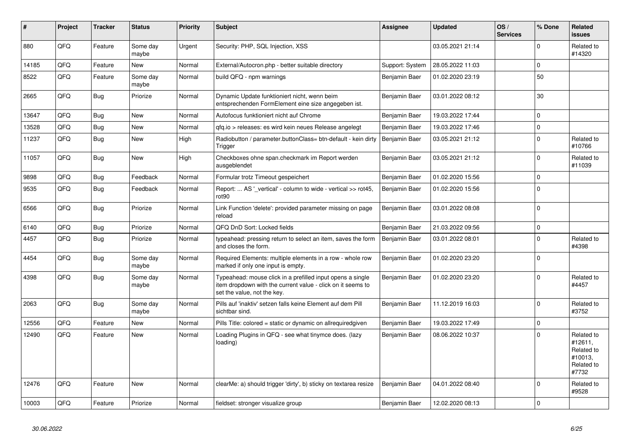| #     | Project | <b>Tracker</b> | <b>Status</b>     | <b>Priority</b> | <b>Subject</b>                                                                                                                                           | Assignee        | <b>Updated</b>   | OS/<br><b>Services</b> | % Done      | Related<br>issues                                                     |
|-------|---------|----------------|-------------------|-----------------|----------------------------------------------------------------------------------------------------------------------------------------------------------|-----------------|------------------|------------------------|-------------|-----------------------------------------------------------------------|
| 880   | QFQ     | Feature        | Some day<br>maybe | Urgent          | Security: PHP, SQL Injection, XSS                                                                                                                        |                 | 03.05.2021 21:14 |                        | $\Omega$    | Related to<br>#14320                                                  |
| 14185 | QFQ     | Feature        | <b>New</b>        | Normal          | External/Autocron.php - better suitable directory                                                                                                        | Support: System | 28.05.2022 11:03 |                        | $\Omega$    |                                                                       |
| 8522  | QFQ     | Feature        | Some day<br>maybe | Normal          | build QFQ - npm warnings                                                                                                                                 | Benjamin Baer   | 01.02.2020 23:19 |                        | 50          |                                                                       |
| 2665  | QFQ     | <b>Bug</b>     | Priorize          | Normal          | Dynamic Update funktioniert nicht, wenn beim<br>entsprechenden FormElement eine size angegeben ist.                                                      | Benjamin Baer   | 03.01.2022 08:12 |                        | 30          |                                                                       |
| 13647 | QFQ     | Bug            | <b>New</b>        | Normal          | Autofocus funktioniert nicht auf Chrome                                                                                                                  | Benjamin Baer   | 19.03.2022 17:44 |                        | $\Omega$    |                                                                       |
| 13528 | QFQ     | Bug            | <b>New</b>        | Normal          | qfq.io > releases: es wird kein neues Release angelegt                                                                                                   | Benjamin Baer   | 19.03.2022 17:46 |                        | $\Omega$    |                                                                       |
| 11237 | QFQ     | Bug            | <b>New</b>        | High            | Radiobutton / parameter.buttonClass= btn-default - kein dirty<br>Trigger                                                                                 | Benjamin Baer   | 03.05.2021 21:12 |                        | $\Omega$    | Related to<br>#10766                                                  |
| 11057 | QFQ     | <b>Bug</b>     | New               | High            | Checkboxes ohne span.checkmark im Report werden<br>ausgeblendet                                                                                          | Benjamin Baer   | 03.05.2021 21:12 |                        | $\Omega$    | Related to<br>#11039                                                  |
| 9898  | QFQ     | <b>Bug</b>     | Feedback          | Normal          | Formular trotz Timeout gespeichert                                                                                                                       | Benjamin Baer   | 01.02.2020 15:56 |                        | $\mathbf 0$ |                                                                       |
| 9535  | QFQ     | <b>Bug</b>     | Feedback          | Normal          | Report:  AS ' vertical' - column to wide - vertical >> rot45,<br>rot <sub>90</sub>                                                                       | Benjamin Baer   | 01.02.2020 15:56 |                        | $\Omega$    |                                                                       |
| 6566  | QFQ     | Bug            | Priorize          | Normal          | Link Function 'delete': provided parameter missing on page<br>reload                                                                                     | Benjamin Baer   | 03.01.2022 08:08 |                        | $\Omega$    |                                                                       |
| 6140  | QFQ     | Bug            | Priorize          | Normal          | QFQ DnD Sort: Locked fields                                                                                                                              | Benjamin Baer   | 21.03.2022 09:56 |                        | $\mathbf 0$ |                                                                       |
| 4457  | QFQ     | Bug            | Priorize          | Normal          | typeahead: pressing return to select an item, saves the form<br>and closes the form.                                                                     | Benjamin Baer   | 03.01.2022 08:01 |                        | $\Omega$    | Related to<br>#4398                                                   |
| 4454  | QFQ     | <b>Bug</b>     | Some day<br>maybe | Normal          | Required Elements: multiple elements in a row - whole row<br>marked if only one input is empty.                                                          | Benjamin Baer   | 01.02.2020 23:20 |                        | $\Omega$    |                                                                       |
| 4398  | QFQ     | <b>Bug</b>     | Some day<br>maybe | Normal          | Typeahead: mouse click in a prefilled input opens a single<br>item dropdown with the current value - click on it seems to<br>set the value, not the key. | Benjamin Baer   | 01.02.2020 23:20 |                        | $\Omega$    | Related to<br>#4457                                                   |
| 2063  | QFQ     | <b>Bug</b>     | Some day<br>maybe | Normal          | Pills auf 'inaktiv' setzen falls keine Element auf dem Pill<br>sichtbar sind.                                                                            | Benjamin Baer   | 11.12.2019 16:03 |                        | $\Omega$    | Related to<br>#3752                                                   |
| 12556 | QFQ     | Feature        | <b>New</b>        | Normal          | Pills Title: colored = static or dynamic on allrequiredgiven                                                                                             | Benjamin Baer   | 19.03.2022 17:49 |                        | $\mathbf 0$ |                                                                       |
| 12490 | QFQ     | Feature        | <b>New</b>        | Normal          | Loading Plugins in QFQ - see what tinymce does. (lazy<br>loading)                                                                                        | Benjamin Baer   | 08.06.2022 10:37 |                        | $\Omega$    | Related to<br>#12611,<br>Related to<br>#10013.<br>Related to<br>#7732 |
| 12476 | QFQ     | Feature        | <b>New</b>        | Normal          | clearMe: a) should trigger 'dirty', b) sticky on textarea resize                                                                                         | Benjamin Baer   | 04.01.2022 08:40 |                        | $\Omega$    | Related to<br>#9528                                                   |
| 10003 | QFQ     | Feature        | Priorize          | Normal          | fieldset: stronger visualize group                                                                                                                       | Benjamin Baer   | 12.02.2020 08:13 |                        | $\Omega$    |                                                                       |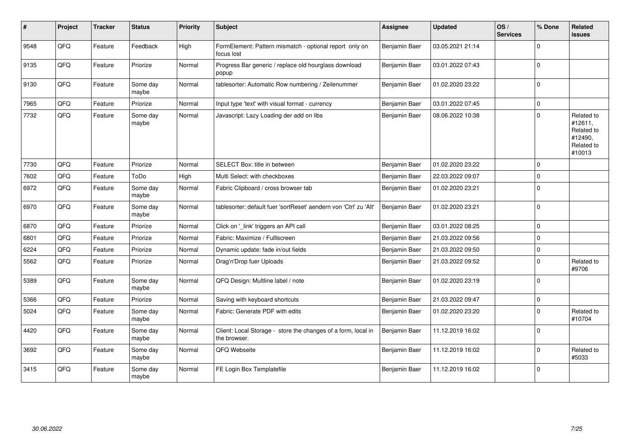| ∦    | Project | <b>Tracker</b> | <b>Status</b>     | <b>Priority</b> | <b>Subject</b>                                                                | Assignee      | <b>Updated</b>   | OS/<br><b>Services</b> | % Done      | <b>Related</b><br><b>issues</b>                                        |
|------|---------|----------------|-------------------|-----------------|-------------------------------------------------------------------------------|---------------|------------------|------------------------|-------------|------------------------------------------------------------------------|
| 9548 | QFQ     | Feature        | Feedback          | High            | FormElement: Pattern mismatch - optional report only on<br>focus lost         | Benjamin Baer | 03.05.2021 21:14 |                        | $\Omega$    |                                                                        |
| 9135 | QFQ     | Feature        | Priorize          | Normal          | Progress Bar generic / replace old hourglass download<br>popup                | Benjamin Baer | 03.01.2022 07:43 |                        | $\Omega$    |                                                                        |
| 9130 | QFQ     | Feature        | Some day<br>maybe | Normal          | tablesorter: Automatic Row numbering / Zeilenummer                            | Benjamin Baer | 01.02.2020 23:22 |                        | $\Omega$    |                                                                        |
| 7965 | QFQ     | Feature        | Priorize          | Normal          | Input type 'text' with visual format - currency                               | Benjamin Baer | 03.01.2022 07:45 |                        | $\Omega$    |                                                                        |
| 7732 | QFQ     | Feature        | Some day<br>maybe | Normal          | Javascript: Lazy Loading der add on libs                                      | Benjamin Baer | 08.06.2022 10:38 |                        | $\mathbf 0$ | Related to<br>#12611,<br>Related to<br>#12490,<br>Related to<br>#10013 |
| 7730 | QFQ     | Feature        | Priorize          | Normal          | SELECT Box: title in between                                                  | Benjamin Baer | 01.02.2020 23:22 |                        | $\mathbf 0$ |                                                                        |
| 7602 | QFQ     | Feature        | ToDo              | High            | Multi Select: with checkboxes                                                 | Benjamin Baer | 22.03.2022 09:07 |                        | $\Omega$    |                                                                        |
| 6972 | QFQ     | Feature        | Some day<br>maybe | Normal          | Fabric Clipboard / cross browser tab                                          | Benjamin Baer | 01.02.2020 23:21 |                        | $\mathbf 0$ |                                                                        |
| 6970 | QFQ     | Feature        | Some day<br>maybe | Normal          | tablesorter: default fuer 'sortReset' aendern von 'Ctrl' zu 'Alt'             | Benjamin Baer | 01.02.2020 23:21 |                        | $\Omega$    |                                                                        |
| 6870 | QFQ     | Feature        | Priorize          | Normal          | Click on '_link' triggers an API call                                         | Benjamin Baer | 03.01.2022 08:25 |                        | $\mathbf 0$ |                                                                        |
| 6801 | QFQ     | Feature        | Priorize          | Normal          | Fabric: Maximize / FullIscreen                                                | Benjamin Baer | 21.03.2022 09:56 |                        | $\Omega$    |                                                                        |
| 6224 | QFQ     | Feature        | Priorize          | Normal          | Dynamic update: fade in/out fields                                            | Benjamin Baer | 21.03.2022 09:50 |                        | $\mathbf 0$ |                                                                        |
| 5562 | QFQ     | Feature        | Priorize          | Normal          | Drag'n'Drop fuer Uploads                                                      | Benjamin Baer | 21.03.2022 09:52 |                        | $\mathbf 0$ | Related to<br>#9706                                                    |
| 5389 | QFQ     | Feature        | Some day<br>maybe | Normal          | QFQ Design: Multline label / note                                             | Benjamin Baer | 01.02.2020 23:19 |                        | $\mathbf 0$ |                                                                        |
| 5366 | QFQ     | Feature        | Priorize          | Normal          | Saving with keyboard shortcuts                                                | Benjamin Baer | 21.03.2022 09:47 |                        | $\pmb{0}$   |                                                                        |
| 5024 | QFQ     | Feature        | Some day<br>maybe | Normal          | Fabric: Generate PDF with edits                                               | Benjamin Baer | 01.02.2020 23:20 |                        | $\Omega$    | Related to<br>#10704                                                   |
| 4420 | QFQ     | Feature        | Some day<br>maybe | Normal          | Client: Local Storage - store the changes of a form, local in<br>the browser. | Benjamin Baer | 11.12.2019 16:02 |                        | $\Omega$    |                                                                        |
| 3692 | QFQ     | Feature        | Some day<br>maybe | Normal          | QFQ Webseite                                                                  | Benjamin Baer | 11.12.2019 16:02 |                        | $\Omega$    | Related to<br>#5033                                                    |
| 3415 | QFQ     | Feature        | Some day<br>maybe | Normal          | FE Login Box Templatefile                                                     | Benjamin Baer | 11.12.2019 16:02 |                        | $\mathbf 0$ |                                                                        |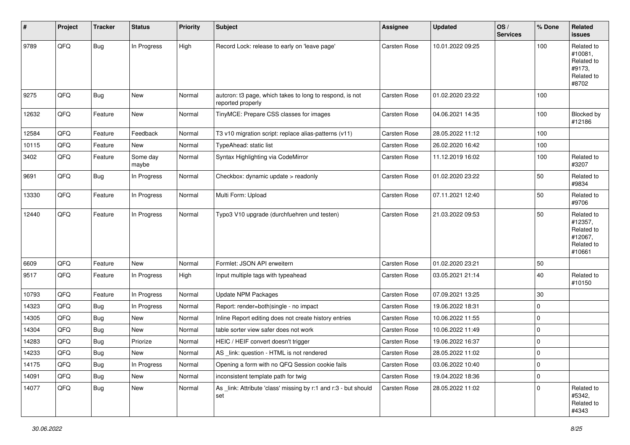| #     | Project | <b>Tracker</b> | <b>Status</b>     | <b>Priority</b> | <b>Subject</b>                                                                | <b>Assignee</b> | <b>Updated</b>   | OS/<br><b>Services</b> | % Done              | Related<br><b>issues</b>                                               |
|-------|---------|----------------|-------------------|-----------------|-------------------------------------------------------------------------------|-----------------|------------------|------------------------|---------------------|------------------------------------------------------------------------|
| 9789  | QFQ     | <b>Bug</b>     | In Progress       | High            | Record Lock: release to early on 'leave page'                                 | Carsten Rose    | 10.01.2022 09:25 |                        | 100                 | Related to<br>#10081,<br>Related to<br>#9173,<br>Related to<br>#8702   |
| 9275  | QFQ     | <b>Bug</b>     | New               | Normal          | autcron: t3 page, which takes to long to respond, is not<br>reported properly | Carsten Rose    | 01.02.2020 23:22 |                        | 100                 |                                                                        |
| 12632 | QFQ     | Feature        | <b>New</b>        | Normal          | TinyMCE: Prepare CSS classes for images                                       | Carsten Rose    | 04.06.2021 14:35 |                        | 100                 | Blocked by<br>#12186                                                   |
| 12584 | QFQ     | Feature        | Feedback          | Normal          | T3 v10 migration script: replace alias-patterns (v11)                         | Carsten Rose    | 28.05.2022 11:12 |                        | 100                 |                                                                        |
| 10115 | QFQ     | Feature        | New               | Normal          | TypeAhead: static list                                                        | Carsten Rose    | 26.02.2020 16:42 |                        | 100                 |                                                                        |
| 3402  | QFQ     | Feature        | Some day<br>maybe | Normal          | Syntax Highlighting via CodeMirror                                            | Carsten Rose    | 11.12.2019 16:02 |                        | 100                 | Related to<br>#3207                                                    |
| 9691  | QFQ     | Bug            | In Progress       | Normal          | Checkbox: dynamic update > readonly                                           | Carsten Rose    | 01.02.2020 23:22 |                        | 50                  | Related to<br>#9834                                                    |
| 13330 | QFQ     | Feature        | In Progress       | Normal          | Multi Form: Upload                                                            | Carsten Rose    | 07.11.2021 12:40 |                        | 50                  | Related to<br>#9706                                                    |
| 12440 | QFQ     | Feature        | In Progress       | Normal          | Typo3 V10 upgrade (durchfuehren und testen)                                   | Carsten Rose    | 21.03.2022 09:53 |                        | 50                  | Related to<br>#12357,<br>Related to<br>#12067,<br>Related to<br>#10661 |
| 6609  | QFQ     | Feature        | New               | Normal          | Formlet: JSON API erweitern                                                   | Carsten Rose    | 01.02.2020 23:21 |                        | 50                  |                                                                        |
| 9517  | QFQ     | Feature        | In Progress       | High            | Input multiple tags with typeahead                                            | Carsten Rose    | 03.05.2021 21:14 |                        | 40                  | Related to<br>#10150                                                   |
| 10793 | QFQ     | Feature        | In Progress       | Normal          | Update NPM Packages                                                           | Carsten Rose    | 07.09.2021 13:25 |                        | 30                  |                                                                        |
| 14323 | QFQ     | <b>Bug</b>     | In Progress       | Normal          | Report: render=both single - no impact                                        | Carsten Rose    | 19.06.2022 18:31 |                        | $\mathbf 0$         |                                                                        |
| 14305 | QFQ     | <b>Bug</b>     | <b>New</b>        | Normal          | Inline Report editing does not create history entries                         | Carsten Rose    | 10.06.2022 11:55 |                        | $\mathbf 0$         |                                                                        |
| 14304 | QFQ     | <b>Bug</b>     | New               | Normal          | table sorter view safer does not work                                         | Carsten Rose    | 10.06.2022 11:49 |                        | $\mathbf 0$         |                                                                        |
| 14283 | QFQ     | <b>Bug</b>     | Priorize          | Normal          | HEIC / HEIF convert doesn't trigger                                           | Carsten Rose    | 19.06.2022 16:37 |                        | $\mathbf 0$         |                                                                        |
| 14233 | QFQ     | <b>Bug</b>     | New               | Normal          | AS link: question - HTML is not rendered                                      | Carsten Rose    | 28.05.2022 11:02 |                        | $\mathbf 0$         |                                                                        |
| 14175 | QFQ     | <b>Bug</b>     | In Progress       | Normal          | Opening a form with no QFQ Session cookie fails                               | Carsten Rose    | 03.06.2022 10:40 |                        | $\pmb{0}$           |                                                                        |
| 14091 | QFQ     | <b>Bug</b>     | New               | Normal          | inconsistent template path for twig                                           | Carsten Rose    | 19.04.2022 18:36 |                        | $\mathsf{O}\xspace$ |                                                                        |
| 14077 | QFQ     | <b>Bug</b>     | New               | Normal          | As _link: Attribute 'class' missing by r:1 and r:3 - but should<br>set        | Carsten Rose    | 28.05.2022 11:02 |                        | $\mathbf 0$         | Related to<br>#5342,<br>Related to<br>#4343                            |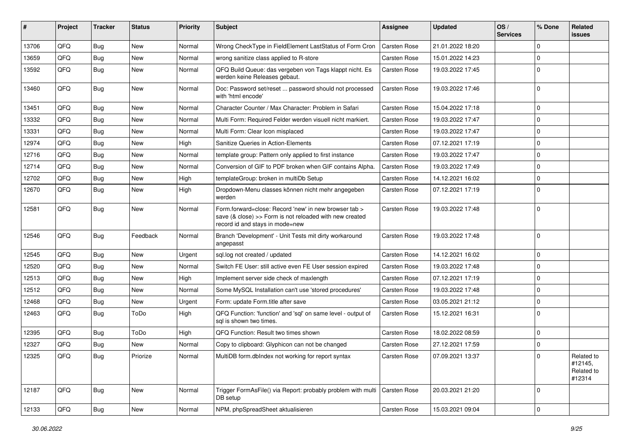| #     | Project | <b>Tracker</b> | <b>Status</b> | <b>Priority</b> | <b>Subject</b>                                                                                                                                      | Assignee            | <b>Updated</b>   | OS/<br><b>Services</b> | % Done   | Related<br>issues                             |
|-------|---------|----------------|---------------|-----------------|-----------------------------------------------------------------------------------------------------------------------------------------------------|---------------------|------------------|------------------------|----------|-----------------------------------------------|
| 13706 | QFQ     | <b>Bug</b>     | New           | Normal          | Wrong CheckType in FieldElement LastStatus of Form Cron                                                                                             | <b>Carsten Rose</b> | 21.01.2022 18:20 |                        | $\Omega$ |                                               |
| 13659 | QFQ     | <b>Bug</b>     | New           | Normal          | wrong sanitize class applied to R-store                                                                                                             | <b>Carsten Rose</b> | 15.01.2022 14:23 |                        | $\Omega$ |                                               |
| 13592 | QFQ     | <b>Bug</b>     | New           | Normal          | QFQ Build Queue: das vergeben von Tags klappt nicht. Es<br>werden keine Releases gebaut.                                                            | <b>Carsten Rose</b> | 19.03.2022 17:45 |                        | $\Omega$ |                                               |
| 13460 | QFQ     | Bug            | <b>New</b>    | Normal          | Doc: Password set/reset  password should not processed<br>with 'html encode'                                                                        | Carsten Rose        | 19.03.2022 17:46 |                        | $\Omega$ |                                               |
| 13451 | QFQ     | Bug            | <b>New</b>    | Normal          | Character Counter / Max Character: Problem in Safari                                                                                                | <b>Carsten Rose</b> | 15.04.2022 17:18 |                        | $\Omega$ |                                               |
| 13332 | QFQ     | Bug            | New           | Normal          | Multi Form: Required Felder werden visuell nicht markiert.                                                                                          | <b>Carsten Rose</b> | 19.03.2022 17:47 |                        | $\Omega$ |                                               |
| 13331 | QFQ     | Bug            | <b>New</b>    | Normal          | Multi Form: Clear Icon misplaced                                                                                                                    | <b>Carsten Rose</b> | 19.03.2022 17:47 |                        | $\Omega$ |                                               |
| 12974 | QFQ     | <b>Bug</b>     | New           | High            | Sanitize Queries in Action-Elements                                                                                                                 | <b>Carsten Rose</b> | 07.12.2021 17:19 |                        | $\Omega$ |                                               |
| 12716 | QFQ     | Bug            | New           | Normal          | template group: Pattern only applied to first instance                                                                                              | <b>Carsten Rose</b> | 19.03.2022 17:47 |                        | $\Omega$ |                                               |
| 12714 | QFQ     | Bug            | <b>New</b>    | Normal          | Conversion of GIF to PDF broken when GIF contains Alpha.                                                                                            | <b>Carsten Rose</b> | 19.03.2022 17:49 |                        | $\Omega$ |                                               |
| 12702 | QFQ     | <b>Bug</b>     | New           | High            | templateGroup: broken in multiDb Setup                                                                                                              | <b>Carsten Rose</b> | 14.12.2021 16:02 |                        | $\Omega$ |                                               |
| 12670 | QFQ     | Bug            | New           | High            | Dropdown-Menu classes können nicht mehr angegeben<br>werden                                                                                         | <b>Carsten Rose</b> | 07.12.2021 17:19 |                        | $\Omega$ |                                               |
| 12581 | QFQ     | Bug            | New           | Normal          | Form.forward=close: Record 'new' in new browser tab ><br>save (& close) >> Form is not reloaded with new created<br>record id and stays in mode=new | <b>Carsten Rose</b> | 19.03.2022 17:48 |                        | $\Omega$ |                                               |
| 12546 | QFQ     | <b>Bug</b>     | Feedback      | Normal          | Branch 'Development' - Unit Tests mit dirty workaround<br>angepasst                                                                                 | <b>Carsten Rose</b> | 19.03.2022 17:48 |                        | $\Omega$ |                                               |
| 12545 | QFQ     | Bug            | <b>New</b>    | Urgent          | sql.log not created / updated                                                                                                                       | <b>Carsten Rose</b> | 14.12.2021 16:02 |                        | $\Omega$ |                                               |
| 12520 | QFQ     | <b>Bug</b>     | New           | Normal          | Switch FE User: still active even FE User session expired                                                                                           | <b>Carsten Rose</b> | 19.03.2022 17:48 |                        | $\Omega$ |                                               |
| 12513 | QFQ     | Bug            | <b>New</b>    | High            | Implement server side check of maxlength                                                                                                            | <b>Carsten Rose</b> | 07.12.2021 17:19 |                        | $\Omega$ |                                               |
| 12512 | QFQ     | Bug            | New           | Normal          | Some MySQL Installation can't use 'stored procedures'                                                                                               | <b>Carsten Rose</b> | 19.03.2022 17:48 |                        | $\Omega$ |                                               |
| 12468 | QFQ     | <b>Bug</b>     | <b>New</b>    | Urgent          | Form: update Form.title after save                                                                                                                  | <b>Carsten Rose</b> | 03.05.2021 21:12 |                        | $\Omega$ |                                               |
| 12463 | QFQ     | <b>Bug</b>     | ToDo          | High            | QFQ Function: 'function' and 'sql' on same level - output of<br>sql is shown two times.                                                             | <b>Carsten Rose</b> | 15.12.2021 16:31 |                        | $\Omega$ |                                               |
| 12395 | QFQ     | Bug            | ToDo          | High            | QFQ Function: Result two times shown                                                                                                                | <b>Carsten Rose</b> | 18.02.2022 08:59 |                        | $\Omega$ |                                               |
| 12327 | QFQ     | Bug            | New           | Normal          | Copy to clipboard: Glyphicon can not be changed                                                                                                     | <b>Carsten Rose</b> | 27.12.2021 17:59 |                        | $\Omega$ |                                               |
| 12325 | QFQ     | <b>Bug</b>     | Priorize      | Normal          | MultiDB form.dblndex not working for report syntax                                                                                                  | Carsten Rose        | 07.09.2021 13:37 |                        |          | Related to<br>#12145,<br>Related to<br>#12314 |
| 12187 | QFQ     | <b>Bug</b>     | New           | Normal          | Trigger FormAsFile() via Report: probably problem with multi<br>DB setup                                                                            | <b>Carsten Rose</b> | 20.03.2021 21:20 |                        | 0        |                                               |
| 12133 | QFQ     | <b>Bug</b>     | New           | Normal          | NPM, phpSpreadSheet aktualisieren                                                                                                                   | Carsten Rose        | 15.03.2021 09:04 |                        | 0        |                                               |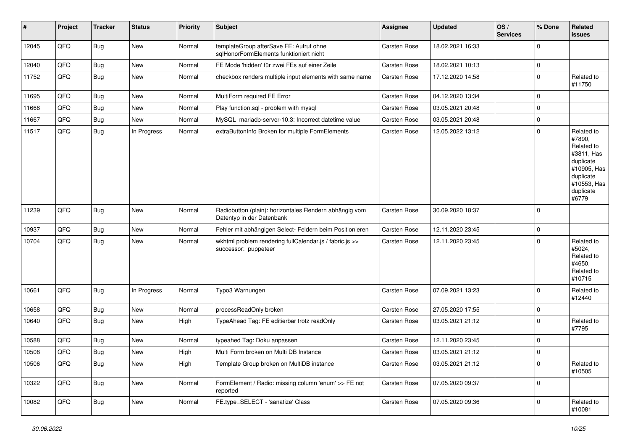| #     | Project | <b>Tracker</b> | <b>Status</b> | <b>Priority</b> | <b>Subject</b>                                                                      | <b>Assignee</b>     | <b>Updated</b>   | OS/<br><b>Services</b> | % Done       | Related<br>issues                                                                                                              |
|-------|---------|----------------|---------------|-----------------|-------------------------------------------------------------------------------------|---------------------|------------------|------------------------|--------------|--------------------------------------------------------------------------------------------------------------------------------|
| 12045 | QFQ     | <b>Bug</b>     | New           | Normal          | templateGroup afterSave FE: Aufruf ohne<br>sqlHonorFormElements funktioniert nicht  | <b>Carsten Rose</b> | 18.02.2021 16:33 |                        | $\mathbf 0$  |                                                                                                                                |
| 12040 | QFQ     | <b>Bug</b>     | New           | Normal          | FE Mode 'hidden' für zwei FEs auf einer Zeile                                       | Carsten Rose        | 18.02.2021 10:13 |                        | $\mathbf 0$  |                                                                                                                                |
| 11752 | QFQ     | <b>Bug</b>     | <b>New</b>    | Normal          | checkbox renders multiple input elements with same name                             | Carsten Rose        | 17.12.2020 14:58 |                        | $\mathbf 0$  | Related to<br>#11750                                                                                                           |
| 11695 | QFQ     | Bug            | <b>New</b>    | Normal          | MultiForm required FE Error                                                         | Carsten Rose        | 04.12.2020 13:34 |                        | $\mathbf 0$  |                                                                                                                                |
| 11668 | QFQ     | <b>Bug</b>     | New           | Normal          | Play function.sql - problem with mysql                                              | Carsten Rose        | 03.05.2021 20:48 |                        | $\mathbf 0$  |                                                                                                                                |
| 11667 | QFQ     | <b>Bug</b>     | New           | Normal          | MySQL mariadb-server-10.3: Incorrect datetime value                                 | Carsten Rose        | 03.05.2021 20:48 |                        | $\mathbf 0$  |                                                                                                                                |
| 11517 | QFQ     | <b>Bug</b>     | In Progress   | Normal          | extraButtonInfo Broken for multiple FormElements                                    | Carsten Rose        | 12.05.2022 13:12 |                        | $\mathbf 0$  | Related to<br>#7890,<br>Related to<br>#3811, Has<br>duplicate<br>#10905, Has<br>duplicate<br>#10553, Has<br>duplicate<br>#6779 |
| 11239 | QFQ     | <b>Bug</b>     | New           | Normal          | Radiobutton (plain): horizontales Rendern abhängig vom<br>Datentyp in der Datenbank | Carsten Rose        | 30.09.2020 18:37 |                        | $\mathbf 0$  |                                                                                                                                |
| 10937 | QFQ     | <b>Bug</b>     | <b>New</b>    | Normal          | Fehler mit abhängigen Select- Feldern beim Positionieren                            | Carsten Rose        | 12.11.2020 23:45 |                        | $\mathbf 0$  |                                                                                                                                |
| 10704 | QFQ     | <b>Bug</b>     | New           | Normal          | wkhtml problem rendering fullCalendar.js / fabric.js >><br>successor: puppeteer     | <b>Carsten Rose</b> | 12.11.2020 23:45 |                        | $\mathbf 0$  | Related to<br>#5024,<br>Related to<br>#4650,<br>Related to<br>#10715                                                           |
| 10661 | QFQ     | <b>Bug</b>     | In Progress   | Normal          | Typo3 Warnungen                                                                     | Carsten Rose        | 07.09.2021 13:23 |                        | $\mathbf 0$  | Related to<br>#12440                                                                                                           |
| 10658 | QFQ     | <b>Bug</b>     | New           | Normal          | processReadOnly broken                                                              | Carsten Rose        | 27.05.2020 17:55 |                        | $\mathbf 0$  |                                                                                                                                |
| 10640 | QFQ     | <b>Bug</b>     | New           | High            | TypeAhead Tag: FE editierbar trotz readOnly                                         | Carsten Rose        | 03.05.2021 21:12 |                        | $\mathbf 0$  | Related to<br>#7795                                                                                                            |
| 10588 | QFQ     | <b>Bug</b>     | New           | Normal          | typeahed Tag: Doku anpassen                                                         | Carsten Rose        | 12.11.2020 23:45 |                        | $\mathbf 0$  |                                                                                                                                |
| 10508 | QFQ     | Bug            | New           | High            | Multi Form broken on Multi DB Instance                                              | <b>Carsten Rose</b> | 03.05.2021 21:12 |                        | $\mathbf 0$  |                                                                                                                                |
| 10506 | QFQ     | <b>Bug</b>     | New           | High            | Template Group broken on MultiDB instance                                           | Carsten Rose        | 03.05.2021 21:12 |                        | $\mathbf 0$  | Related to<br>#10505                                                                                                           |
| 10322 | QFQ     | <b>Bug</b>     | New           | Normal          | FormElement / Radio: missing column 'enum' >> FE not<br>reported                    | Carsten Rose        | 07.05.2020 09:37 |                        | $\mathbf 0$  |                                                                                                                                |
| 10082 | QFQ     | <b>Bug</b>     | New           | Normal          | FE.type=SELECT - 'sanatize' Class                                                   | Carsten Rose        | 07.05.2020 09:36 |                        | $\mathbf{0}$ | Related to<br>#10081                                                                                                           |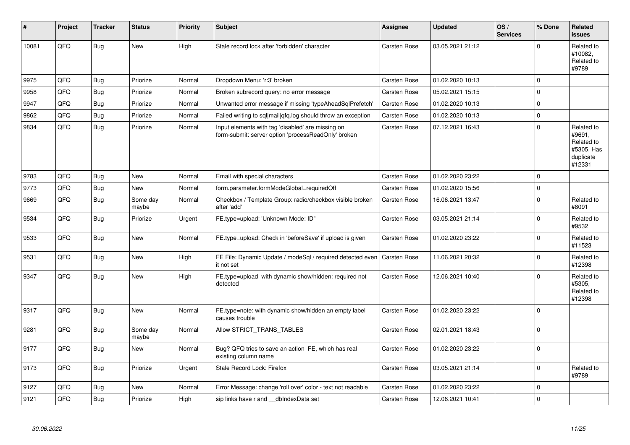| #     | Project | <b>Tracker</b> | <b>Status</b>     | <b>Priority</b> | <b>Subject</b>                                                                                           | Assignee            | <b>Updated</b>   | OS/<br><b>Services</b> | % Done      | Related<br><b>issues</b>                                                |
|-------|---------|----------------|-------------------|-----------------|----------------------------------------------------------------------------------------------------------|---------------------|------------------|------------------------|-------------|-------------------------------------------------------------------------|
| 10081 | QFQ     | <b>Bug</b>     | New               | High            | Stale record lock after 'forbidden' character                                                            | Carsten Rose        | 03.05.2021 21:12 |                        | $\Omega$    | Related to<br>#10082,<br>Related to<br>#9789                            |
| 9975  | QFQ     | <b>Bug</b>     | Priorize          | Normal          | Dropdown Menu: 'r:3' broken                                                                              | Carsten Rose        | 01.02.2020 10:13 |                        | $\Omega$    |                                                                         |
| 9958  | QFQ     | <b>Bug</b>     | Priorize          | Normal          | Broken subrecord query: no error message                                                                 | Carsten Rose        | 05.02.2021 15:15 |                        | $\mathbf 0$ |                                                                         |
| 9947  | QFQ     | <b>Bug</b>     | Priorize          | Normal          | Unwanted error message if missing 'typeAheadSqlPrefetch'                                                 | <b>Carsten Rose</b> | 01.02.2020 10:13 |                        | $\mathbf 0$ |                                                                         |
| 9862  | QFQ     | <b>Bug</b>     | Priorize          | Normal          | Failed writing to sql mail qfq.log should throw an exception                                             | Carsten Rose        | 01.02.2020 10:13 |                        | $\pmb{0}$   |                                                                         |
| 9834  | QFQ     | <b>Bug</b>     | Priorize          | Normal          | Input elements with tag 'disabled' are missing on<br>form-submit: server option 'processReadOnly' broken | Carsten Rose        | 07.12.2021 16:43 |                        | $\Omega$    | Related to<br>#9691,<br>Related to<br>#5305, Has<br>duplicate<br>#12331 |
| 9783  | QFQ     | <b>Bug</b>     | <b>New</b>        | Normal          | Email with special characters                                                                            | Carsten Rose        | 01.02.2020 23:22 |                        | $\mathbf 0$ |                                                                         |
| 9773  | QFQ     | <b>Bug</b>     | New               | Normal          | form.parameter.formModeGlobal=requiredOff                                                                | <b>Carsten Rose</b> | 01.02.2020 15:56 |                        | $\pmb{0}$   |                                                                         |
| 9669  | QFQ     | <b>Bug</b>     | Some day<br>maybe | Normal          | Checkbox / Template Group: radio/checkbox visible broken<br>after 'add'                                  | Carsten Rose        | 16.06.2021 13:47 |                        | $\mathbf 0$ | Related to<br>#8091                                                     |
| 9534  | QFQ     | <b>Bug</b>     | Priorize          | Urgent          | FE.type=upload: 'Unknown Mode: ID"                                                                       | <b>Carsten Rose</b> | 03.05.2021 21:14 |                        | $\mathbf 0$ | Related to<br>#9532                                                     |
| 9533  | QFQ     | <b>Bug</b>     | <b>New</b>        | Normal          | FE.type=upload: Check in 'beforeSave' if upload is given                                                 | <b>Carsten Rose</b> | 01.02.2020 23:22 |                        | $\Omega$    | Related to<br>#11523                                                    |
| 9531  | QFQ     | <b>Bug</b>     | <b>New</b>        | High            | FE File: Dynamic Update / modeSgl / required detected even<br>it not set                                 | <b>Carsten Rose</b> | 11.06.2021 20:32 |                        | $\mathbf 0$ | Related to<br>#12398                                                    |
| 9347  | QFQ     | <b>Bug</b>     | <b>New</b>        | High            | FE.type=upload with dynamic show/hidden: required not<br>detected                                        | Carsten Rose        | 12.06.2021 10:40 |                        | $\mathbf 0$ | Related to<br>#5305,<br>Related to<br>#12398                            |
| 9317  | QFQ     | <b>Bug</b>     | <b>New</b>        | Normal          | FE.type=note: with dynamic show/hidden an empty label<br>causes trouble                                  | <b>Carsten Rose</b> | 01.02.2020 23:22 |                        | $\mathbf 0$ |                                                                         |
| 9281  | QFQ     | <b>Bug</b>     | Some day<br>maybe | Normal          | Allow STRICT_TRANS_TABLES                                                                                | Carsten Rose        | 02.01.2021 18:43 |                        | $\Omega$    |                                                                         |
| 9177  | QFQ     | <b>Bug</b>     | New               | Normal          | Bug? QFQ tries to save an action FE, which has real<br>existing column name                              | Carsten Rose        | 01.02.2020 23:22 |                        | $\mathbf 0$ |                                                                         |
| 9173  | QFQ     | Bug            | Priorize          | Urgent          | Stale Record Lock: Firefox                                                                               | <b>Carsten Rose</b> | 03.05.2021 21:14 |                        | $\mathbf 0$ | Related to<br>#9789                                                     |
| 9127  | QFQ     | <b>Bug</b>     | <b>New</b>        | Normal          | Error Message: change 'roll over' color - text not readable                                              | Carsten Rose        | 01.02.2020 23:22 |                        | $\mathbf 0$ |                                                                         |
| 9121  | QFQ     | <b>Bug</b>     | Priorize          | High            | sip links have r and __dbIndexData set                                                                   | <b>Carsten Rose</b> | 12.06.2021 10:41 |                        | $\mathbf 0$ |                                                                         |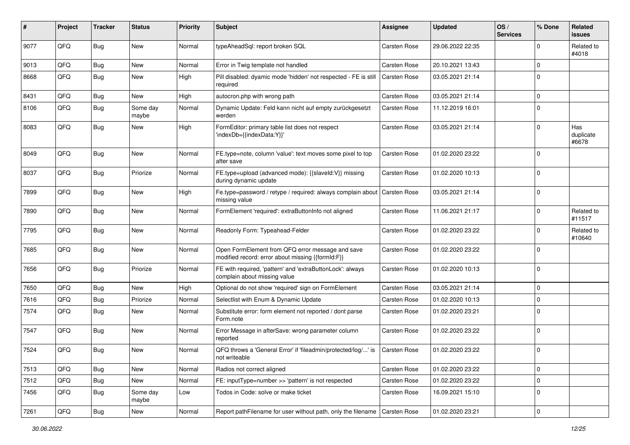| #    | Project | <b>Tracker</b> | <b>Status</b>     | <b>Priority</b> | Subject                                                                                               | <b>Assignee</b>     | <b>Updated</b>   | OS/<br><b>Services</b> | % Done         | Related<br>issues         |
|------|---------|----------------|-------------------|-----------------|-------------------------------------------------------------------------------------------------------|---------------------|------------------|------------------------|----------------|---------------------------|
| 9077 | QFQ     | Bug            | <b>New</b>        | Normal          | typeAheadSql: report broken SQL                                                                       | <b>Carsten Rose</b> | 29.06.2022 22:35 |                        | $\Omega$       | Related to<br>#4018       |
| 9013 | QFQ     | Bug            | <b>New</b>        | Normal          | Error in Twig template not handled                                                                    | <b>Carsten Rose</b> | 20.10.2021 13:43 |                        | $\Omega$       |                           |
| 8668 | QFQ     | Bug            | <b>New</b>        | High            | Pill disabled: dyamic mode 'hidden' not respected - FE is still<br>required                           | <b>Carsten Rose</b> | 03.05.2021 21:14 |                        | $\Omega$       |                           |
| 8431 | QFQ     | Bug            | <b>New</b>        | High            | autocron.php with wrong path                                                                          | <b>Carsten Rose</b> | 03.05.2021 21:14 |                        | $\mathbf 0$    |                           |
| 8106 | QFQ     | Bug            | Some day<br>maybe | Normal          | Dynamic Update: Feld kann nicht auf empty zurückgesetzt<br>werden                                     | <b>Carsten Rose</b> | 11.12.2019 16:01 |                        | $\mathbf 0$    |                           |
| 8083 | QFQ     | Bug            | <b>New</b>        | High            | FormEditor: primary table list does not respect<br>'indexDb={{indexData:Y}}'                          | <b>Carsten Rose</b> | 03.05.2021 21:14 |                        | $\Omega$       | Has<br>duplicate<br>#6678 |
| 8049 | QFQ     | Bug            | New               | Normal          | FE.type=note, column 'value': text moves some pixel to top<br>after save                              | <b>Carsten Rose</b> | 01.02.2020 23:22 |                        | $\mathbf 0$    |                           |
| 8037 | QFQ     | Bug            | Priorize          | Normal          | FE.type=upload (advanced mode): {{slaveld:V}} missing<br>during dynamic update                        | <b>Carsten Rose</b> | 01.02.2020 10:13 |                        | $\mathbf 0$    |                           |
| 7899 | QFQ     | Bug            | <b>New</b>        | High            | Fe.type=password / retype / required: always complain about<br>missing value                          | <b>Carsten Rose</b> | 03.05.2021 21:14 |                        | $\Omega$       |                           |
| 7890 | QFQ     | Bug            | New               | Normal          | FormElement 'required': extraButtonInfo not aligned                                                   | <b>Carsten Rose</b> | 11.06.2021 21:17 |                        | 0              | Related to<br>#11517      |
| 7795 | QFQ     | Bug            | <b>New</b>        | Normal          | Readonly Form: Typeahead-Felder                                                                       | <b>Carsten Rose</b> | 01.02.2020 23:22 |                        | $\Omega$       | Related to<br>#10640      |
| 7685 | QFQ     | Bug            | <b>New</b>        | Normal          | Open FormElement from QFQ error message and save<br>modified record: error about missing {{formId:F}} | <b>Carsten Rose</b> | 01.02.2020 23:22 |                        | $\Omega$       |                           |
| 7656 | QFQ     | Bug            | Priorize          | Normal          | FE with required, 'pattern' and 'extraButtonLock': always<br>complain about missing value             | <b>Carsten Rose</b> | 01.02.2020 10:13 |                        | $\overline{0}$ |                           |
| 7650 | QFQ     | Bug            | New               | High            | Optional do not show 'required' sign on FormElement                                                   | <b>Carsten Rose</b> | 03.05.2021 21:14 |                        | 0              |                           |
| 7616 | QFQ     | Bug            | Priorize          | Normal          | Selectlist with Enum & Dynamic Update                                                                 | <b>Carsten Rose</b> | 01.02.2020 10:13 |                        | 0              |                           |
| 7574 | QFQ     | Bug            | New               | Normal          | Substitute error: form element not reported / dont parse<br>Form.note                                 | <b>Carsten Rose</b> | 01.02.2020 23:21 |                        | $\Omega$       |                           |
| 7547 | QFQ     | Bug            | <b>New</b>        | Normal          | Error Message in afterSave: wrong parameter column<br>reported                                        | <b>Carsten Rose</b> | 01.02.2020 23:22 |                        | $\Omega$       |                           |
| 7524 | QFQ     | Bug            | New               | Normal          | QFQ throws a 'General Error' if 'fileadmin/protected/log/' is<br>not writeable                        | <b>Carsten Rose</b> | 01.02.2020 23:22 |                        | $\mathbf 0$    |                           |
| 7513 | QFQ     | <b>Bug</b>     | New               | Normal          | Radios not correct aligned                                                                            | Carsten Rose        | 01.02.2020 23:22 |                        | $\mathbf 0$    |                           |
| 7512 | QFQ     | <b>Bug</b>     | New               | Normal          | FE: inputType=number >> 'pattern' is not respected                                                    | Carsten Rose        | 01.02.2020 23:22 |                        | $\mathbf 0$    |                           |
| 7456 | QFQ     | <b>Bug</b>     | Some day<br>maybe | Low             | Todos in Code: solve or make ticket                                                                   | Carsten Rose        | 16.09.2021 15:10 |                        | 0              |                           |
| 7261 | QFQ     | <b>Bug</b>     | New               | Normal          | Report pathFilename for user without path, only the filename                                          | <b>Carsten Rose</b> | 01.02.2020 23:21 |                        | 0              |                           |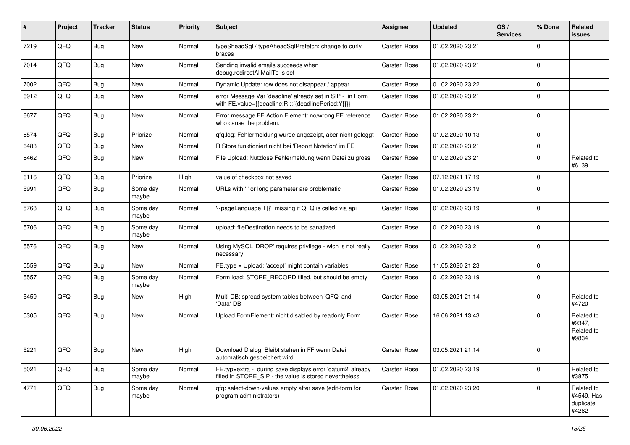| #    | Project | <b>Tracker</b> | <b>Status</b>     | <b>Priority</b> | Subject                                                                                                              | <b>Assignee</b>     | <b>Updated</b>   | OS/<br><b>Services</b> | % Done         | Related<br>issues                              |
|------|---------|----------------|-------------------|-----------------|----------------------------------------------------------------------------------------------------------------------|---------------------|------------------|------------------------|----------------|------------------------------------------------|
| 7219 | QFQ     | <b>Bug</b>     | New               | Normal          | typeSheadSql / typeAheadSqlPrefetch: change to curly<br>braces                                                       | Carsten Rose        | 01.02.2020 23:21 |                        | $\Omega$       |                                                |
| 7014 | QFQ     | <b>Bug</b>     | <b>New</b>        | Normal          | Sending invalid emails succeeds when<br>debug.redirectAllMailTo is set                                               | <b>Carsten Rose</b> | 01.02.2020 23:21 |                        | $\mathbf 0$    |                                                |
| 7002 | QFQ     | <b>Bug</b>     | New               | Normal          | Dynamic Update: row does not disappear / appear                                                                      | <b>Carsten Rose</b> | 01.02.2020 23:22 |                        | $\Omega$       |                                                |
| 6912 | QFQ     | <b>Bug</b>     | <b>New</b>        | Normal          | error Message Var 'deadline' already set in SIP - in Form<br>with FE.value={{deadline:R:::{{deadlinePeriod:Y}}}}     | <b>Carsten Rose</b> | 01.02.2020 23:21 |                        | $\Omega$       |                                                |
| 6677 | QFQ     | <b>Bug</b>     | New               | Normal          | Error message FE Action Element: no/wrong FE reference<br>who cause the problem.                                     | Carsten Rose        | 01.02.2020 23:21 |                        | $\Omega$       |                                                |
| 6574 | QFQ     | <b>Bug</b>     | Priorize          | Normal          | qfq.log: Fehlermeldung wurde angezeigt, aber nicht geloggt                                                           | Carsten Rose        | 01.02.2020 10:13 |                        | $\mathbf 0$    |                                                |
| 6483 | QFQ     | <b>Bug</b>     | <b>New</b>        | Normal          | R Store funktioniert nicht bei 'Report Notation' im FE                                                               | <b>Carsten Rose</b> | 01.02.2020 23:21 |                        | $\mathbf 0$    |                                                |
| 6462 | QFQ     | <b>Bug</b>     | New               | Normal          | File Upload: Nutzlose Fehlermeldung wenn Datei zu gross                                                              | <b>Carsten Rose</b> | 01.02.2020 23:21 |                        | $\Omega$       | Related to<br>#6139                            |
| 6116 | QFQ     | <b>Bug</b>     | Priorize          | High            | value of checkbox not saved                                                                                          | Carsten Rose        | 07.12.2021 17:19 |                        | $\mathbf 0$    |                                                |
| 5991 | QFQ     | <b>Bug</b>     | Some day<br>maybe | Normal          | URLs with ' ' or long parameter are problematic                                                                      | <b>Carsten Rose</b> | 01.02.2020 23:19 |                        | $\mathbf 0$    |                                                |
| 5768 | QFQ     | <b>Bug</b>     | Some day<br>maybe | Normal          | {{pageLanguage:T}}' missing if QFQ is called via api                                                                 | Carsten Rose        | 01.02.2020 23:19 |                        | 0              |                                                |
| 5706 | QFQ     | <b>Bug</b>     | Some day<br>maybe | Normal          | upload: fileDestination needs to be sanatized                                                                        | Carsten Rose        | 01.02.2020 23:19 |                        | $\Omega$       |                                                |
| 5576 | QFQ     | <b>Bug</b>     | New               | Normal          | Using MySQL 'DROP' requires privilege - wich is not really<br>necessary.                                             | Carsten Rose        | 01.02.2020 23:21 |                        | $\overline{0}$ |                                                |
| 5559 | QFQ     | <b>Bug</b>     | New               | Normal          | FE.type = Upload: 'accept' might contain variables                                                                   | <b>Carsten Rose</b> | 11.05.2020 21:23 |                        | $\mathbf 0$    |                                                |
| 5557 | QFQ     | <b>Bug</b>     | Some day<br>maybe | Normal          | Form load: STORE_RECORD filled, but should be empty                                                                  | <b>Carsten Rose</b> | 01.02.2020 23:19 |                        | $\Omega$       |                                                |
| 5459 | QFQ     | <b>Bug</b>     | New               | High            | Multi DB: spread system tables between 'QFQ' and<br>'Data'-DB                                                        | <b>Carsten Rose</b> | 03.05.2021 21:14 |                        | $\mathbf 0$    | Related to<br>#4720                            |
| 5305 | QFQ     | <b>Bug</b>     | <b>New</b>        | Normal          | Upload FormElement: nicht disabled by readonly Form                                                                  | <b>Carsten Rose</b> | 16.06.2021 13:43 |                        | $\Omega$       | Related to<br>#9347,<br>Related to<br>#9834    |
| 5221 | QFQ     | <b>Bug</b>     | <b>New</b>        | High            | Download Dialog: Bleibt stehen in FF wenn Datei<br>automatisch gespeichert wird.                                     | <b>Carsten Rose</b> | 03.05.2021 21:14 |                        | $\Omega$       |                                                |
| 5021 | QFQ     | Bug            | Some day<br>maybe | Normal          | FE.typ=extra - during save displays error 'datum2' already<br>filled in STORE SIP - the value is stored nevertheless | <b>Carsten Rose</b> | 01.02.2020 23:19 |                        | $\mathbf 0$    | Related to<br>#3875                            |
| 4771 | QFQ     | Bug            | Some day<br>maybe | Normal          | qfq: select-down-values empty after save (edit-form for<br>program administrators)                                   | Carsten Rose        | 01.02.2020 23:20 |                        | $\Omega$       | Related to<br>#4549, Has<br>duplicate<br>#4282 |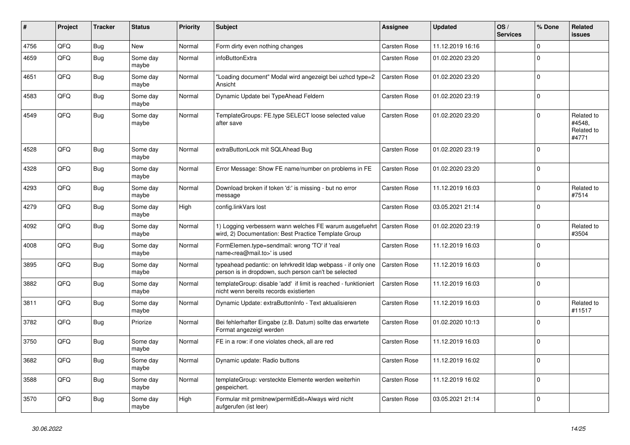| #    | Project | <b>Tracker</b> | <b>Status</b>     | <b>Priority</b> | <b>Subject</b>                                                                                                       | <b>Assignee</b>     | <b>Updated</b>   | OS/<br><b>Services</b> | % Done         | Related<br><b>issues</b>                    |
|------|---------|----------------|-------------------|-----------------|----------------------------------------------------------------------------------------------------------------------|---------------------|------------------|------------------------|----------------|---------------------------------------------|
| 4756 | QFQ     | <b>Bug</b>     | <b>New</b>        | Normal          | Form dirty even nothing changes                                                                                      | <b>Carsten Rose</b> | 11.12.2019 16:16 |                        | $\mathbf 0$    |                                             |
| 4659 | QFQ     | <b>Bug</b>     | Some day<br>maybe | Normal          | infoButtonExtra                                                                                                      | Carsten Rose        | 01.02.2020 23:20 |                        | $\Omega$       |                                             |
| 4651 | QFQ     | <b>Bug</b>     | Some day<br>maybe | Normal          | Loading document" Modal wird angezeigt bei uzhcd type=2<br>Ansicht                                                   | Carsten Rose        | 01.02.2020 23:20 |                        | $\Omega$       |                                             |
| 4583 | QFQ     | <b>Bug</b>     | Some day<br>maybe | Normal          | Dynamic Update bei TypeAhead Feldern                                                                                 | <b>Carsten Rose</b> | 01.02.2020 23:19 |                        | $\Omega$       |                                             |
| 4549 | QFQ     | Bug            | Some day<br>maybe | Normal          | TemplateGroups: FE.type SELECT loose selected value<br>after save                                                    | Carsten Rose        | 01.02.2020 23:20 |                        | $\Omega$       | Related to<br>#4548.<br>Related to<br>#4771 |
| 4528 | QFQ     | <b>Bug</b>     | Some day<br>maybe | Normal          | extraButtonLock mit SQLAhead Bug                                                                                     | <b>Carsten Rose</b> | 01.02.2020 23:19 |                        | $\overline{0}$ |                                             |
| 4328 | QFQ     | <b>Bug</b>     | Some day<br>maybe | Normal          | Error Message: Show FE name/number on problems in FE                                                                 | Carsten Rose        | 01.02.2020 23:20 |                        | $\Omega$       |                                             |
| 4293 | QFQ     | Bug            | Some day<br>maybe | Normal          | Download broken if token 'd:' is missing - but no error<br>message                                                   | <b>Carsten Rose</b> | 11.12.2019 16:03 |                        | $\Omega$       | Related to<br>#7514                         |
| 4279 | QFQ     | <b>Bug</b>     | Some day<br>maybe | High            | config.linkVars lost                                                                                                 | <b>Carsten Rose</b> | 03.05.2021 21:14 |                        | $\Omega$       |                                             |
| 4092 | QFQ     | Bug            | Some day<br>maybe | Normal          | 1) Logging verbessern wann welches FE warum ausgefuehrt<br>wird, 2) Documentation: Best Practice Template Group      | <b>Carsten Rose</b> | 01.02.2020 23:19 |                        | $\Omega$       | Related to<br>#3504                         |
| 4008 | QFQ     | <b>Bug</b>     | Some day<br>maybe | Normal          | FormElemen.type=sendmail: wrong 'TO' if 'real<br>name <rea@mail.to>' is used</rea@mail.to>                           | Carsten Rose        | 11.12.2019 16:03 |                        | $\Omega$       |                                             |
| 3895 | QFQ     | <b>Bug</b>     | Some day<br>maybe | Normal          | typeahead pedantic: on lehrkredit Idap webpass - if only one<br>person is in dropdown, such person can't be selected | <b>Carsten Rose</b> | 11.12.2019 16:03 |                        | $\mathbf 0$    |                                             |
| 3882 | QFQ     | Bug            | Some day<br>maybe | Normal          | templateGroup: disable 'add' if limit is reached - funktioniert<br>nicht wenn bereits records existierten            | Carsten Rose        | 11.12.2019 16:03 |                        | $\Omega$       |                                             |
| 3811 | QFQ     | Bug            | Some day<br>maybe | Normal          | Dynamic Update: extraButtonInfo - Text aktualisieren                                                                 | Carsten Rose        | 11.12.2019 16:03 |                        | $\Omega$       | Related to<br>#11517                        |
| 3782 | QFQ     | Bug            | Priorize          | Normal          | Bei fehlerhafter Eingabe (z.B. Datum) sollte das erwartete<br>Format angezeigt werden                                | Carsten Rose        | 01.02.2020 10:13 |                        | $\mathbf 0$    |                                             |
| 3750 | QFQ     | <b>Bug</b>     | Some day<br>maybe | Normal          | FE in a row: if one violates check, all are red                                                                      | <b>Carsten Rose</b> | 11.12.2019 16:03 |                        | $\Omega$       |                                             |
| 3682 | QFQ     | <b>Bug</b>     | Some day<br>maybe | Normal          | Dynamic update: Radio buttons                                                                                        | Carsten Rose        | 11.12.2019 16:02 |                        | $\Omega$       |                                             |
| 3588 | QFQ     | Bug            | Some day<br>maybe | Normal          | templateGroup: versteckte Elemente werden weiterhin<br>gespeichert.                                                  | Carsten Rose        | 11.12.2019 16:02 |                        | $\Omega$       |                                             |
| 3570 | QFQ     | Bug            | Some day<br>maybe | High            | Formular mit prmitnew permitEdit=Always wird nicht<br>aufgerufen (ist leer)                                          | Carsten Rose        | 03.05.2021 21:14 |                        | $\Omega$       |                                             |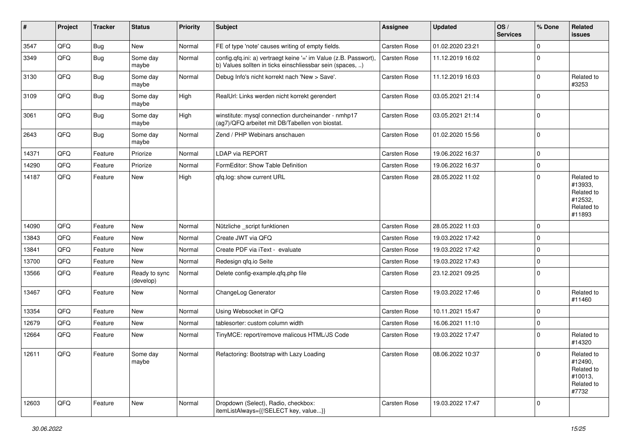| #     | Project | <b>Tracker</b> | <b>Status</b>              | <b>Priority</b> | <b>Subject</b>                                                                                                                | Assignee     | <b>Updated</b>   | OS/<br><b>Services</b> | % Done      | Related<br>issues                                                      |
|-------|---------|----------------|----------------------------|-----------------|-------------------------------------------------------------------------------------------------------------------------------|--------------|------------------|------------------------|-------------|------------------------------------------------------------------------|
| 3547  | QFQ     | <b>Bug</b>     | New                        | Normal          | FE of type 'note' causes writing of empty fields.                                                                             | Carsten Rose | 01.02.2020 23:21 |                        | $\Omega$    |                                                                        |
| 3349  | QFQ     | Bug            | Some day<br>maybe          | Normal          | config.qfq.ini: a) vertraegt keine '=' im Value (z.B. Passwort),<br>b) Values sollten in ticks einschliessbar sein (spaces, ) | Carsten Rose | 11.12.2019 16:02 |                        | $\Omega$    |                                                                        |
| 3130  | QFQ     | <b>Bug</b>     | Some day<br>maybe          | Normal          | Debug Info's nicht korrekt nach 'New > Save'.                                                                                 | Carsten Rose | 11.12.2019 16:03 |                        | $\Omega$    | Related to<br>#3253                                                    |
| 3109  | QFQ     | Bug            | Some day<br>maybe          | High            | RealUrl: Links werden nicht korrekt gerendert                                                                                 | Carsten Rose | 03.05.2021 21:14 |                        | $\Omega$    |                                                                        |
| 3061  | QFQ     | <b>Bug</b>     | Some day<br>maybe          | High            | winstitute: mysql connection durcheinander - nmhp17<br>(ag7)/QFQ arbeitet mit DB/Tabellen von biostat.                        | Carsten Rose | 03.05.2021 21:14 |                        | $\Omega$    |                                                                        |
| 2643  | QFQ     | <b>Bug</b>     | Some day<br>maybe          | Normal          | Zend / PHP Webinars anschauen                                                                                                 | Carsten Rose | 01.02.2020 15:56 |                        | $\mathbf 0$ |                                                                        |
| 14371 | QFQ     | Feature        | Priorize                   | Normal          | LDAP via REPORT                                                                                                               | Carsten Rose | 19.06.2022 16:37 |                        | $\mathbf 0$ |                                                                        |
| 14290 | QFQ     | Feature        | Priorize                   | Normal          | FormEditor: Show Table Definition                                                                                             | Carsten Rose | 19.06.2022 16:37 |                        | $\mathbf 0$ |                                                                        |
| 14187 | QFQ     | Feature        | New                        | High            | qfq.log: show current URL                                                                                                     | Carsten Rose | 28.05.2022 11:02 |                        | $\mathbf 0$ | Related to<br>#13933,<br>Related to<br>#12532,<br>Related to<br>#11893 |
| 14090 | QFQ     | Feature        | <b>New</b>                 | Normal          | Nützliche _script funktionen                                                                                                  | Carsten Rose | 28.05.2022 11:03 |                        | $\Omega$    |                                                                        |
| 13843 | QFQ     | Feature        | New                        | Normal          | Create JWT via QFQ                                                                                                            | Carsten Rose | 19.03.2022 17:42 |                        | $\mathbf 0$ |                                                                        |
| 13841 | QFQ     | Feature        | New                        | Normal          | Create PDF via iText - evaluate                                                                                               | Carsten Rose | 19.03.2022 17:42 |                        | $\Omega$    |                                                                        |
| 13700 | QFQ     | Feature        | New                        | Normal          | Redesign qfq.io Seite                                                                                                         | Carsten Rose | 19.03.2022 17:43 |                        | $\mathbf 0$ |                                                                        |
| 13566 | QFQ     | Feature        | Ready to sync<br>(develop) | Normal          | Delete config-example.qfq.php file                                                                                            | Carsten Rose | 23.12.2021 09:25 |                        | $\Omega$    |                                                                        |
| 13467 | QFQ     | Feature        | New                        | Normal          | ChangeLog Generator                                                                                                           | Carsten Rose | 19.03.2022 17:46 |                        | $\Omega$    | Related to<br>#11460                                                   |
| 13354 | QFQ     | Feature        | <b>New</b>                 | Normal          | Using Websocket in QFQ                                                                                                        | Carsten Rose | 10.11.2021 15:47 |                        | $\mathbf 0$ |                                                                        |
| 12679 | QFQ     | Feature        | New                        | Normal          | tablesorter: custom column width                                                                                              | Carsten Rose | 16.06.2021 11:10 |                        | $\mathbf 0$ |                                                                        |
| 12664 | QFQ     | Feature        | New                        | Normal          | TinyMCE: report/remove malicous HTML/JS Code                                                                                  | Carsten Rose | 19.03.2022 17:47 |                        | $\Omega$    | Related to<br>#14320                                                   |
| 12611 | QFQ     | Feature        | Some day<br>maybe          | Normal          | Refactoring: Bootstrap with Lazy Loading                                                                                      | Carsten Rose | 08.06.2022 10:37 |                        | $\Omega$    | Related to<br>#12490,<br>Related to<br>#10013,<br>Related to<br>#7732  |
| 12603 | QFQ     | Feature        | New                        | Normal          | Dropdown (Select), Radio, checkbox:<br>itemListAlways={{!SELECT key, value}}                                                  | Carsten Rose | 19.03.2022 17:47 |                        | 0           |                                                                        |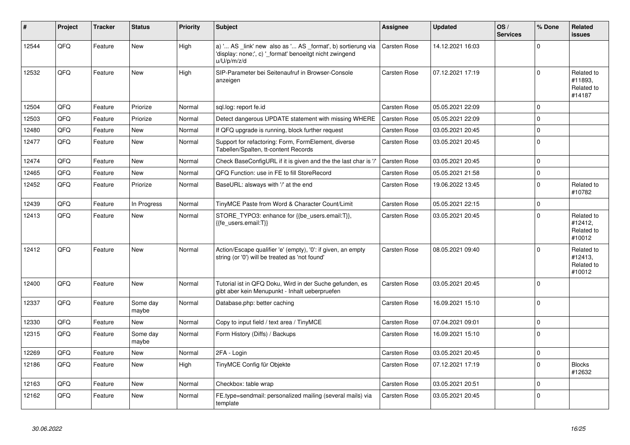| #     | Project | <b>Tracker</b> | <b>Status</b>     | <b>Priority</b> | <b>Subject</b>                                                                                                                        | <b>Assignee</b>     | <b>Updated</b>   | OS/<br><b>Services</b> | % Done         | Related<br>issues                             |
|-------|---------|----------------|-------------------|-----------------|---------------------------------------------------------------------------------------------------------------------------------------|---------------------|------------------|------------------------|----------------|-----------------------------------------------|
| 12544 | QFQ     | Feature        | New               | High            | a) ' AS _link' new also as ' AS _format', b) sortierung via<br>'display: none;', c) '_format' benoeitgt nicht zwingend<br>u/U/p/m/z/d | <b>Carsten Rose</b> | 14.12.2021 16:03 |                        | $\Omega$       |                                               |
| 12532 | QFQ     | Feature        | <b>New</b>        | High            | SIP-Parameter bei Seitenaufruf in Browser-Console<br>anzeigen                                                                         | <b>Carsten Rose</b> | 07.12.2021 17:19 |                        | $\Omega$       | Related to<br>#11893,<br>Related to<br>#14187 |
| 12504 | QFQ     | Feature        | Priorize          | Normal          | sql.log: report fe.id                                                                                                                 | <b>Carsten Rose</b> | 05.05.2021 22:09 |                        | $\mathbf 0$    |                                               |
| 12503 | QFQ     | Feature        | Priorize          | Normal          | Detect dangerous UPDATE statement with missing WHERE                                                                                  | <b>Carsten Rose</b> | 05.05.2021 22:09 |                        | $\Omega$       |                                               |
| 12480 | QFQ     | Feature        | <b>New</b>        | Normal          | If QFQ upgrade is running, block further request                                                                                      | Carsten Rose        | 03.05.2021 20:45 |                        | $\Omega$       |                                               |
| 12477 | QFQ     | Feature        | New               | Normal          | Support for refactoring: Form, FormElement, diverse<br>Tabellen/Spalten, tt-content Records                                           | Carsten Rose        | 03.05.2021 20:45 |                        | $\overline{0}$ |                                               |
| 12474 | QFQ     | Feature        | <b>New</b>        | Normal          | Check BaseConfigURL if it is given and the the last char is '/'                                                                       | Carsten Rose        | 03.05.2021 20:45 |                        | $\Omega$       |                                               |
| 12465 | QFQ     | Feature        | New               | Normal          | QFQ Function: use in FE to fill StoreRecord                                                                                           | <b>Carsten Rose</b> | 05.05.2021 21:58 |                        | $\Omega$       |                                               |
| 12452 | QFQ     | Feature        | Priorize          | Normal          | BaseURL: alsways with '/' at the end                                                                                                  | Carsten Rose        | 19.06.2022 13:45 |                        | $\Omega$       | Related to<br>#10782                          |
| 12439 | QFQ     | Feature        | In Progress       | Normal          | TinyMCE Paste from Word & Character Count/Limit                                                                                       | <b>Carsten Rose</b> | 05.05.2021 22:15 |                        | $\Omega$       |                                               |
| 12413 | QFQ     | Feature        | <b>New</b>        | Normal          | STORE TYPO3: enhance for {{be users.email:T}},<br>{{fe users.email:T}}                                                                | Carsten Rose        | 03.05.2021 20:45 |                        | $\Omega$       | Related to<br>#12412,<br>Related to<br>#10012 |
| 12412 | QFQ     | Feature        | New               | Normal          | Action/Escape qualifier 'e' (empty), '0': if given, an empty<br>string (or '0') will be treated as 'not found'                        | <b>Carsten Rose</b> | 08.05.2021 09:40 |                        | $\Omega$       | Related to<br>#12413,<br>Related to<br>#10012 |
| 12400 | QFQ     | Feature        | New               | Normal          | Tutorial ist in QFQ Doku, Wird in der Suche gefunden, es<br>gibt aber kein Menupunkt - Inhalt ueberpruefen                            | Carsten Rose        | 03.05.2021 20:45 |                        | 0              |                                               |
| 12337 | QFQ     | Feature        | Some day<br>maybe | Normal          | Database.php: better caching                                                                                                          | <b>Carsten Rose</b> | 16.09.2021 15:10 |                        | $\Omega$       |                                               |
| 12330 | QFQ     | Feature        | <b>New</b>        | Normal          | Copy to input field / text area / TinyMCE                                                                                             | Carsten Rose        | 07.04.2021 09:01 |                        | $\Omega$       |                                               |
| 12315 | QFQ     | Feature        | Some day<br>maybe | Normal          | Form History (Diffs) / Backups                                                                                                        | <b>Carsten Rose</b> | 16.09.2021 15:10 |                        | $\Omega$       |                                               |
| 12269 | QFQ     | Feature        | <b>New</b>        | Normal          | 2FA - Login                                                                                                                           | <b>Carsten Rose</b> | 03.05.2021 20:45 |                        | $\overline{0}$ |                                               |
| 12186 | QFQ     | Feature        | <b>New</b>        | High            | TinyMCE Config für Objekte                                                                                                            | <b>Carsten Rose</b> | 07.12.2021 17:19 |                        | $\Omega$       | <b>Blocks</b><br>#12632                       |
| 12163 | QFQ     | Feature        | <b>New</b>        | Normal          | Checkbox: table wrap                                                                                                                  | <b>Carsten Rose</b> | 03.05.2021 20:51 |                        | $\mathbf 0$    |                                               |
| 12162 | QFQ     | Feature        | <b>New</b>        | Normal          | FE.type=sendmail: personalized mailing (several mails) via<br>template                                                                | <b>Carsten Rose</b> | 03.05.2021 20:45 |                        | $\Omega$       |                                               |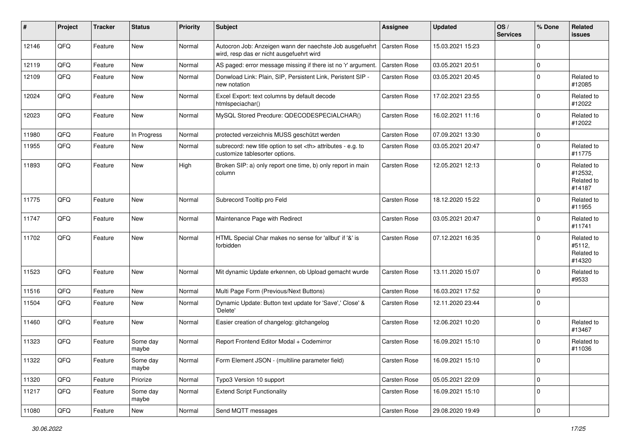| #     | Project | <b>Tracker</b> | <b>Status</b>     | <b>Priority</b> | <b>Subject</b>                                                                                       | <b>Assignee</b>                                        | <b>Updated</b>   | OS/<br><b>Services</b> | % Done      | Related<br>issues                             |                      |
|-------|---------|----------------|-------------------|-----------------|------------------------------------------------------------------------------------------------------|--------------------------------------------------------|------------------|------------------------|-------------|-----------------------------------------------|----------------------|
| 12146 | QFQ     | Feature        | <b>New</b>        | Normal          | Autocron Job: Anzeigen wann der naechste Job ausgefuehrt<br>wird, resp das er nicht ausgefuehrt wird | <b>Carsten Rose</b>                                    | 15.03.2021 15:23 |                        | $\mathbf 0$ |                                               |                      |
| 12119 | QFQ     | Feature        | New               | Normal          | AS paged: error message missing if there ist no 'r' argument.                                        | <b>Carsten Rose</b>                                    | 03.05.2021 20:51 |                        | $\mathbf 0$ |                                               |                      |
| 12109 | QFQ     | Feature        | New               | Normal          | Donwload Link: Plain, SIP, Persistent Link, Peristent SIP -<br>new notation                          | Carsten Rose                                           | 03.05.2021 20:45 |                        | $\Omega$    | Related to<br>#12085                          |                      |
| 12024 | QFQ     | Feature        | New               | Normal          | Excel Export: text columns by default decode<br>htmlspeciachar()                                     | Carsten Rose                                           | 17.02.2021 23:55 |                        | $\mathbf 0$ | Related to<br>#12022                          |                      |
| 12023 | QFQ     | Feature        | New               | Normal          | MySQL Stored Precdure: QDECODESPECIALCHAR()                                                          | Carsten Rose                                           | 16.02.2021 11:16 |                        | $\Omega$    | Related to<br>#12022                          |                      |
| 11980 | QFQ     | Feature        | In Progress       | Normal          | protected verzeichnis MUSS geschützt werden                                                          | Carsten Rose                                           | 07.09.2021 13:30 |                        | $\mathbf 0$ |                                               |                      |
| 11955 | QFQ     | Feature        | New               | Normal          | subrecord: new title option to set <th> attributes - e.g. to<br/>customize tablesorter options.</th> | attributes - e.g. to<br>customize tablesorter options. | Carsten Rose     | 03.05.2021 20:47       |             | $\Omega$                                      | Related to<br>#11775 |
| 11893 | QFQ     | Feature        | <b>New</b>        | High            | Broken SIP: a) only report one time, b) only report in main<br>column                                | Carsten Rose                                           | 12.05.2021 12:13 |                        | $\mathbf 0$ | Related to<br>#12532,<br>Related to<br>#14187 |                      |
| 11775 | QFQ     | Feature        | New               | Normal          | Subrecord Tooltip pro Feld                                                                           | Carsten Rose                                           | 18.12.2020 15:22 |                        | $\mathbf 0$ | Related to<br>#11955                          |                      |
| 11747 | QFQ     | Feature        | New               | Normal          | Maintenance Page with Redirect                                                                       | Carsten Rose                                           | 03.05.2021 20:47 |                        | $\mathbf 0$ | Related to<br>#11741                          |                      |
| 11702 | QFQ     | Feature        | New               | Normal          | HTML Special Char makes no sense for 'allbut' if '&' is<br>forbidden                                 | Carsten Rose                                           | 07.12.2021 16:35 |                        | $\mathbf 0$ | Related to<br>#5112,<br>Related to<br>#14320  |                      |
| 11523 | QFQ     | Feature        | New               | Normal          | Mit dynamic Update erkennen, ob Upload gemacht wurde                                                 | Carsten Rose                                           | 13.11.2020 15:07 |                        | $\Omega$    | Related to<br>#9533                           |                      |
| 11516 | QFQ     | Feature        | New               | Normal          | Multi Page Form (Previous/Next Buttons)                                                              | Carsten Rose                                           | 16.03.2021 17:52 |                        | $\mathbf 0$ |                                               |                      |
| 11504 | QFQ     | Feature        | New               | Normal          | Dynamic Update: Button text update for 'Save',' Close' &<br>'Delete'                                 | Carsten Rose                                           | 12.11.2020 23:44 |                        | $\mathbf 0$ |                                               |                      |
| 11460 | QFQ     | Feature        | New               | Normal          | Easier creation of changelog: gitchangelog                                                           | Carsten Rose                                           | 12.06.2021 10:20 |                        | $\Omega$    | Related to<br>#13467                          |                      |
| 11323 | QFQ     | Feature        | Some day<br>maybe | Normal          | Report Frontend Editor Modal + Codemirror                                                            | Carsten Rose                                           | 16.09.2021 15:10 |                        | $\mathbf 0$ | Related to<br>#11036                          |                      |
| 11322 | QFG     | Feature        | Some day<br>maybe | Normal          | Form Element JSON - (multiline parameter field)                                                      | Carsten Rose                                           | 16.09.2021 15:10 |                        | $\mathbf 0$ |                                               |                      |
| 11320 | QFQ     | Feature        | Priorize          | Normal          | Typo3 Version 10 support                                                                             | Carsten Rose                                           | 05.05.2021 22:09 |                        | $\mathbf 0$ |                                               |                      |
| 11217 | QFQ     | Feature        | Some day<br>maybe | Normal          | <b>Extend Script Functionality</b>                                                                   | Carsten Rose                                           | 16.09.2021 15:10 |                        | $\mathbf 0$ |                                               |                      |
| 11080 | QFG     | Feature        | New               | Normal          | Send MQTT messages                                                                                   | Carsten Rose                                           | 29.08.2020 19:49 |                        | $\mathbf 0$ |                                               |                      |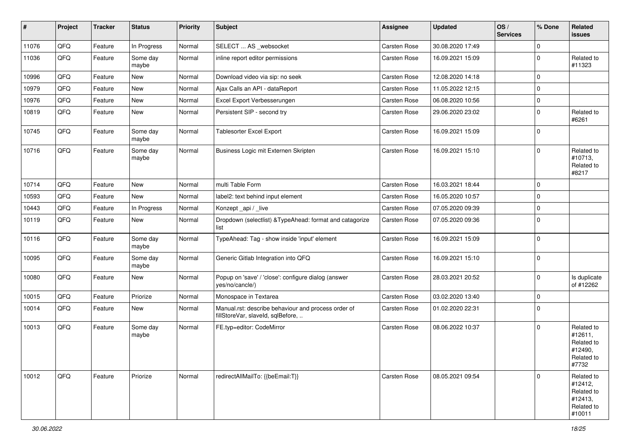| #     | Project | <b>Tracker</b> | <b>Status</b>     | <b>Priority</b> | <b>Subject</b>                                                                           | Assignee     | <b>Updated</b>   | OS/<br><b>Services</b> | % Done      | Related<br><b>issues</b>                                               |
|-------|---------|----------------|-------------------|-----------------|------------------------------------------------------------------------------------------|--------------|------------------|------------------------|-------------|------------------------------------------------------------------------|
| 11076 | QFQ     | Feature        | In Progress       | Normal          | SELECT  AS _websocket                                                                    | Carsten Rose | 30.08.2020 17:49 |                        | $\mathbf 0$ |                                                                        |
| 11036 | QFQ     | Feature        | Some day<br>maybe | Normal          | inline report editor permissions                                                         | Carsten Rose | 16.09.2021 15:09 |                        | $\Omega$    | Related to<br>#11323                                                   |
| 10996 | QFQ     | Feature        | <b>New</b>        | Normal          | Download video via sip: no seek                                                          | Carsten Rose | 12.08.2020 14:18 |                        | $\mathbf 0$ |                                                                        |
| 10979 | QFQ     | Feature        | <b>New</b>        | Normal          | Ajax Calls an API - dataReport                                                           | Carsten Rose | 11.05.2022 12:15 |                        | $\Omega$    |                                                                        |
| 10976 | QFQ     | Feature        | New               | Normal          | Excel Export Verbesserungen                                                              | Carsten Rose | 06.08.2020 10:56 |                        | $\mathbf 0$ |                                                                        |
| 10819 | QFQ     | Feature        | <b>New</b>        | Normal          | Persistent SIP - second try                                                              | Carsten Rose | 29.06.2020 23:02 |                        | $\mathbf 0$ | Related to<br>#6261                                                    |
| 10745 | QFQ     | Feature        | Some day<br>maybe | Normal          | <b>Tablesorter Excel Export</b>                                                          | Carsten Rose | 16.09.2021 15:09 |                        | $\mathbf 0$ |                                                                        |
| 10716 | QFQ     | Feature        | Some day<br>maybe | Normal          | Business Logic mit Externen Skripten                                                     | Carsten Rose | 16.09.2021 15:10 |                        | $\Omega$    | Related to<br>#10713,<br>Related to<br>#8217                           |
| 10714 | QFQ     | Feature        | <b>New</b>        | Normal          | multi Table Form                                                                         | Carsten Rose | 16.03.2021 18:44 |                        | $\mathbf 0$ |                                                                        |
| 10593 | QFQ     | Feature        | <b>New</b>        | Normal          | label2: text behind input element                                                        | Carsten Rose | 16.05.2020 10:57 |                        | $\Omega$    |                                                                        |
| 10443 | QFQ     | Feature        | In Progress       | Normal          | Konzept_api / _live                                                                      | Carsten Rose | 07.05.2020 09:39 |                        | $\mathbf 0$ |                                                                        |
| 10119 | QFQ     | Feature        | <b>New</b>        | Normal          | Dropdown (selectlist) & TypeAhead: format and catagorize<br>list                         | Carsten Rose | 07.05.2020 09:36 |                        | $\Omega$    |                                                                        |
| 10116 | QFQ     | Feature        | Some day<br>maybe | Normal          | TypeAhead: Tag - show inside 'input' element                                             | Carsten Rose | 16.09.2021 15:09 |                        | $\mathbf 0$ |                                                                        |
| 10095 | QFQ     | Feature        | Some day<br>maybe | Normal          | Generic Gitlab Integration into QFQ                                                      | Carsten Rose | 16.09.2021 15:10 |                        | $\Omega$    |                                                                        |
| 10080 | QFQ     | Feature        | New               | Normal          | Popup on 'save' / 'close': configure dialog (answer<br>yes/no/cancle/)                   | Carsten Rose | 28.03.2021 20:52 |                        | $\mathbf 0$ | Is duplicate<br>of #12262                                              |
| 10015 | QFQ     | Feature        | Priorize          | Normal          | Monospace in Textarea                                                                    | Carsten Rose | 03.02.2020 13:40 |                        | $\mathbf 0$ |                                                                        |
| 10014 | QFQ     | Feature        | <b>New</b>        | Normal          | Manual.rst: describe behaviour and process order of<br>fillStoreVar, slaveId, sqlBefore, | Carsten Rose | 01.02.2020 22:31 |                        | $\Omega$    |                                                                        |
| 10013 | QFQ     | Feature        | Some day<br>maybe | Normal          | FE.typ=editor: CodeMirror                                                                | Carsten Rose | 08.06.2022 10:37 |                        | $\Omega$    | Related to<br>#12611,<br>Related to<br>#12490,<br>Related to<br>#7732  |
| 10012 | QFQ     | Feature        | Priorize          | Normal          | redirectAllMailTo: {{beEmail:T}}                                                         | Carsten Rose | 08.05.2021 09:54 |                        | $\mathbf 0$ | Related to<br>#12412,<br>Related to<br>#12413,<br>Related to<br>#10011 |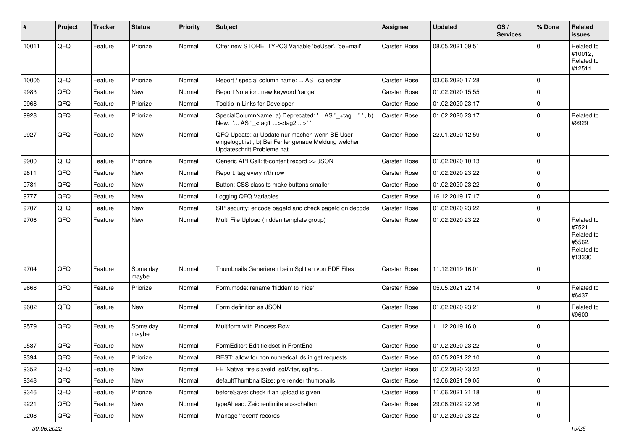| #     | Project        | <b>Tracker</b> | <b>Status</b>     | <b>Priority</b> | <b>Subject</b>                                                                                                                        | Assignee            | <b>Updated</b>   | OS/<br><b>Services</b> | % Done      | Related<br>issues                                                    |
|-------|----------------|----------------|-------------------|-----------------|---------------------------------------------------------------------------------------------------------------------------------------|---------------------|------------------|------------------------|-------------|----------------------------------------------------------------------|
| 10011 | QFQ            | Feature        | Priorize          | Normal          | Offer new STORE_TYPO3 Variable 'beUser', 'beEmail'                                                                                    | Carsten Rose        | 08.05.2021 09:51 |                        | $\Omega$    | Related to<br>#10012,<br>Related to<br>#12511                        |
| 10005 | QFQ            | Feature        | Priorize          | Normal          | Report / special column name:  AS calendar                                                                                            | Carsten Rose        | 03.06.2020 17:28 |                        | $\mathbf 0$ |                                                                      |
| 9983  | QFQ            | Feature        | New               | Normal          | Report Notation: new keyword 'range'                                                                                                  | Carsten Rose        | 01.02.2020 15:55 |                        | 0           |                                                                      |
| 9968  | QFQ            | Feature        | Priorize          | Normal          | Tooltip in Links for Developer                                                                                                        | Carsten Rose        | 01.02.2020 23:17 |                        | 0           |                                                                      |
| 9928  | QFQ            | Feature        | Priorize          | Normal          | SpecialColumnName: a) Deprecated: ' AS "_+tag " ', b)<br>New: ' AS "_ <tag1><tag2>"</tag2></tag1>                                     | Carsten Rose        | 01.02.2020 23:17 |                        | $\mathbf 0$ | Related to<br>#9929                                                  |
| 9927  | QFQ            | Feature        | <b>New</b>        | Normal          | QFQ Update: a) Update nur machen wenn BE User<br>eingeloggt ist., b) Bei Fehler genaue Meldung welcher<br>Updateschritt Probleme hat. | Carsten Rose        | 22.01.2020 12:59 |                        | 0           |                                                                      |
| 9900  | QFQ            | Feature        | Priorize          | Normal          | Generic API Call: tt-content record >> JSON                                                                                           | Carsten Rose        | 01.02.2020 10:13 |                        | $\mathbf 0$ |                                                                      |
| 9811  | QFQ            | Feature        | New               | Normal          | Report: tag every n'th row                                                                                                            | <b>Carsten Rose</b> | 01.02.2020 23:22 |                        | $\mathbf 0$ |                                                                      |
| 9781  | QFQ            | Feature        | <b>New</b>        | Normal          | Button: CSS class to make buttons smaller                                                                                             | Carsten Rose        | 01.02.2020 23:22 |                        | $\mathbf 0$ |                                                                      |
| 9777  | QFQ            | Feature        | New               | Normal          | Logging QFQ Variables                                                                                                                 | Carsten Rose        | 16.12.2019 17:17 |                        | $\mathbf 0$ |                                                                      |
| 9707  | QFQ            | Feature        | New               | Normal          | SIP security: encode pageId and check pageId on decode                                                                                | Carsten Rose        | 01.02.2020 23:22 |                        | 0           |                                                                      |
| 9706  | QFQ            | Feature        | New               | Normal          | Multi File Upload (hidden template group)                                                                                             | Carsten Rose        | 01.02.2020 23:22 |                        | $\mathbf 0$ | Related to<br>#7521,<br>Related to<br>#5562,<br>Related to<br>#13330 |
| 9704  | QFQ            | Feature        | Some day<br>maybe | Normal          | Thumbnails Generieren beim Splitten von PDF Files                                                                                     | Carsten Rose        | 11.12.2019 16:01 |                        | 0           |                                                                      |
| 9668  | QFQ            | Feature        | Priorize          | Normal          | Form.mode: rename 'hidden' to 'hide'                                                                                                  | Carsten Rose        | 05.05.2021 22:14 |                        | $\mathbf 0$ | Related to<br>#6437                                                  |
| 9602  | QFQ            | Feature        | New               | Normal          | Form definition as JSON                                                                                                               | Carsten Rose        | 01.02.2020 23:21 |                        | 0           | Related to<br>#9600                                                  |
| 9579  | QFQ            | Feature        | Some day<br>maybe | Normal          | Multiform with Process Row                                                                                                            | Carsten Rose        | 11.12.2019 16:01 |                        | $\Omega$    |                                                                      |
| 9537  | QFQ            | Feature        | New               | Normal          | FormEditor: Edit fieldset in FrontEnd                                                                                                 | Carsten Rose        | 01.02.2020 23:22 |                        | $\mathbf 0$ |                                                                      |
| 9394  | QFQ            | Feature        | Priorize          | Normal          | REST: allow for non numerical ids in get requests                                                                                     | Carsten Rose        | 05.05.2021 22:10 |                        | U           |                                                                      |
| 9352  | QFQ            | Feature        | New               | Normal          | FE 'Native' fire slaveld, sqlAfter, sqlIns                                                                                            | Carsten Rose        | 01.02.2020 23:22 |                        | 0           |                                                                      |
| 9348  | QFQ            | Feature        | New               | Normal          | defaultThumbnailSize: pre render thumbnails                                                                                           | Carsten Rose        | 12.06.2021 09:05 |                        | 0           |                                                                      |
| 9346  | QFQ            | Feature        | Priorize          | Normal          | beforeSave: check if an upload is given                                                                                               | Carsten Rose        | 11.06.2021 21:18 |                        | 0           |                                                                      |
| 9221  | QFQ            | Feature        | New               | Normal          | typeAhead: Zeichenlimite ausschalten                                                                                                  | Carsten Rose        | 29.06.2022 22:36 |                        | 0           |                                                                      |
| 9208  | $\mathsf{QFQ}$ | Feature        | New               | Normal          | Manage 'recent' records                                                                                                               | Carsten Rose        | 01.02.2020 23:22 |                        | 0           |                                                                      |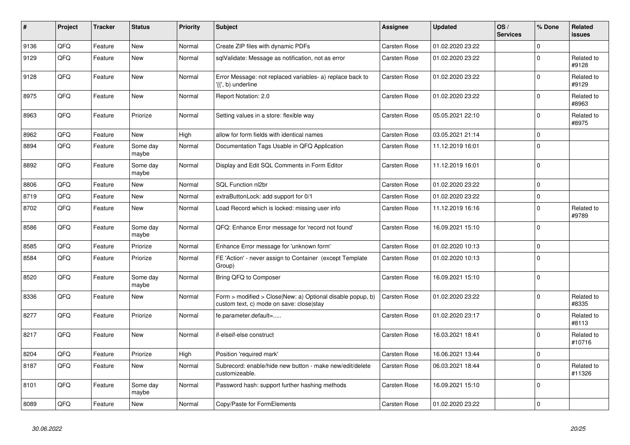| #    | Project | <b>Tracker</b> | <b>Status</b>     | <b>Priority</b> | <b>Subject</b>                                                                                         | Assignee            | <b>Updated</b>   | OS/<br><b>Services</b> | % Done      | Related<br><b>issues</b> |
|------|---------|----------------|-------------------|-----------------|--------------------------------------------------------------------------------------------------------|---------------------|------------------|------------------------|-------------|--------------------------|
| 9136 | QFQ     | Feature        | <b>New</b>        | Normal          | Create ZIP files with dynamic PDFs                                                                     | Carsten Rose        | 01.02.2020 23:22 |                        | $\Omega$    |                          |
| 9129 | QFQ     | Feature        | <b>New</b>        | Normal          | sqlValidate: Message as notification, not as error                                                     | Carsten Rose        | 01.02.2020 23:22 |                        | $\Omega$    | Related to<br>#9128      |
| 9128 | QFQ     | Feature        | <b>New</b>        | Normal          | Error Message: not replaced variables- a) replace back to<br>'{{', b) underline                        | Carsten Rose        | 01.02.2020 23:22 |                        | $\mathbf 0$ | Related to<br>#9129      |
| 8975 | QFQ     | Feature        | <b>New</b>        | Normal          | Report Notation: 2.0                                                                                   | Carsten Rose        | 01.02.2020 23:22 |                        | $\mathbf 0$ | Related to<br>#8963      |
| 8963 | QFQ     | Feature        | Priorize          | Normal          | Setting values in a store: flexible way                                                                | Carsten Rose        | 05.05.2021 22:10 |                        | $\mathbf 0$ | Related to<br>#8975      |
| 8962 | QFQ     | Feature        | <b>New</b>        | High            | allow for form fields with identical names                                                             | <b>Carsten Rose</b> | 03.05.2021 21:14 |                        | $\mathbf 0$ |                          |
| 8894 | QFQ     | Feature        | Some day<br>maybe | Normal          | Documentation Tags Usable in QFQ Application                                                           | Carsten Rose        | 11.12.2019 16:01 |                        | $\mathbf 0$ |                          |
| 8892 | QFQ     | Feature        | Some day<br>maybe | Normal          | Display and Edit SQL Comments in Form Editor                                                           | Carsten Rose        | 11.12.2019 16:01 |                        | $\pmb{0}$   |                          |
| 8806 | QFQ     | Feature        | <b>New</b>        | Normal          | SQL Function nl2br                                                                                     | Carsten Rose        | 01.02.2020 23:22 |                        | $\mathbf 0$ |                          |
| 8719 | QFQ     | Feature        | New               | Normal          | extraButtonLock: add support for 0/1                                                                   | Carsten Rose        | 01.02.2020 23:22 |                        | $\pmb{0}$   |                          |
| 8702 | QFQ     | Feature        | New               | Normal          | Load Record which is locked: missing user info                                                         | Carsten Rose        | 11.12.2019 16:16 |                        | $\mathbf 0$ | Related to<br>#9789      |
| 8586 | QFQ     | Feature        | Some day<br>maybe | Normal          | QFQ: Enhance Error message for 'record not found'                                                      | Carsten Rose        | 16.09.2021 15:10 |                        | $\mathbf 0$ |                          |
| 8585 | QFQ     | Feature        | Priorize          | Normal          | Enhance Error message for 'unknown form'                                                               | Carsten Rose        | 01.02.2020 10:13 |                        | $\pmb{0}$   |                          |
| 8584 | QFQ     | Feature        | Priorize          | Normal          | FE 'Action' - never assign to Container (except Template<br>Group)                                     | Carsten Rose        | 01.02.2020 10:13 |                        | $\mathbf 0$ |                          |
| 8520 | QFQ     | Feature        | Some day<br>maybe | Normal          | Bring QFQ to Composer                                                                                  | Carsten Rose        | 16.09.2021 15:10 |                        | $\mathbf 0$ |                          |
| 8336 | QFQ     | Feature        | New               | Normal          | Form > modified > Close New: a) Optional disable popup, b)<br>custom text, c) mode on save: close stay | <b>Carsten Rose</b> | 01.02.2020 23:22 |                        | $\mathbf 0$ | Related to<br>#8335      |
| 8277 | QFQ     | Feature        | Priorize          | Normal          | fe.parameter.default=                                                                                  | Carsten Rose        | 01.02.2020 23:17 |                        | $\mathbf 0$ | Related to<br>#8113      |
| 8217 | QFQ     | Feature        | <b>New</b>        | Normal          | if-elseif-else construct                                                                               | Carsten Rose        | 16.03.2021 18:41 |                        | $\mathbf 0$ | Related to<br>#10716     |
| 8204 | QFQ     | Feature        | Priorize          | High            | Position 'required mark'                                                                               | Carsten Rose        | 16.06.2021 13:44 |                        | $\mathbf 0$ |                          |
| 8187 | QFQ     | Feature        | New               | Normal          | Subrecord: enable/hide new button - make new/edit/delete<br>customizeable.                             | Carsten Rose        | 06.03.2021 18:44 |                        | $\mathbf 0$ | Related to<br>#11326     |
| 8101 | QFQ     | Feature        | Some day<br>maybe | Normal          | Password hash: support further hashing methods                                                         | Carsten Rose        | 16.09.2021 15:10 |                        | $\mathbf 0$ |                          |
| 8089 | QFQ     | Feature        | New               | Normal          | Copy/Paste for FormElements                                                                            | Carsten Rose        | 01.02.2020 23:22 |                        | $\mathbf 0$ |                          |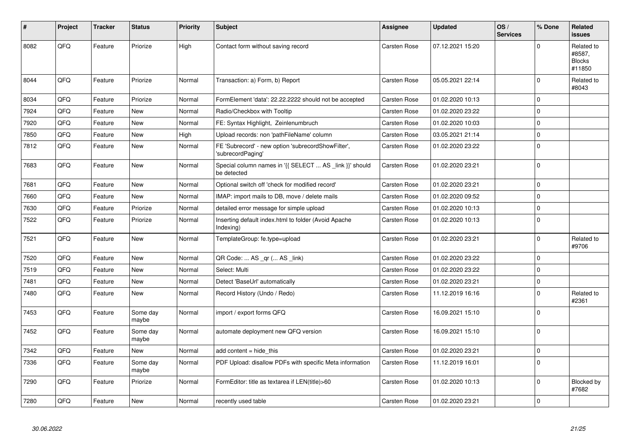| #    | Project | <b>Tracker</b> | <b>Status</b>     | <b>Priority</b> | <b>Subject</b>                                                          | Assignee            | <b>Updated</b>   | OS/<br><b>Services</b> | % Done         | Related<br><b>issues</b>                        |
|------|---------|----------------|-------------------|-----------------|-------------------------------------------------------------------------|---------------------|------------------|------------------------|----------------|-------------------------------------------------|
| 8082 | QFQ     | Feature        | Priorize          | High            | Contact form without saving record                                      | Carsten Rose        | 07.12.2021 15:20 |                        | $\Omega$       | Related to<br>#8587,<br><b>Blocks</b><br>#11850 |
| 8044 | QFG     | Feature        | Priorize          | Normal          | Transaction: a) Form, b) Report                                         | Carsten Rose        | 05.05.2021 22:14 |                        | $\mathbf 0$    | Related to<br>#8043                             |
| 8034 | QFQ     | Feature        | Priorize          | Normal          | FormElement 'data': 22.22.2222 should not be accepted                   | Carsten Rose        | 01.02.2020 10:13 |                        | $\Omega$       |                                                 |
| 7924 | QFQ     | Feature        | <b>New</b>        | Normal          | Radio/Checkbox with Tooltip                                             | <b>Carsten Rose</b> | 01.02.2020 23:22 |                        | $\mathbf 0$    |                                                 |
| 7920 | QFQ     | Feature        | <b>New</b>        | Normal          | FE: Syntax Highlight, Zeinlenumbruch                                    | <b>Carsten Rose</b> | 01.02.2020 10:03 |                        | $\Omega$       |                                                 |
| 7850 | QFQ     | Feature        | New               | High            | Upload records: non 'pathFileName' column                               | Carsten Rose        | 03.05.2021 21:14 |                        | $\mathbf 0$    |                                                 |
| 7812 | QFQ     | Feature        | <b>New</b>        | Normal          | FE 'Subrecord' - new option 'subrecordShowFilter',<br>'subrecordPaging' | <b>Carsten Rose</b> | 01.02.2020 23:22 |                        | $\Omega$       |                                                 |
| 7683 | QFQ     | Feature        | <b>New</b>        | Normal          | Special column names in '{{ SELECT  AS _link }}' should<br>be detected  | <b>Carsten Rose</b> | 01.02.2020 23:21 |                        | $\overline{0}$ |                                                 |
| 7681 | QFQ     | Feature        | <b>New</b>        | Normal          | Optional switch off 'check for modified record'                         | <b>Carsten Rose</b> | 01.02.2020 23:21 |                        | 0              |                                                 |
| 7660 | QFQ     | Feature        | <b>New</b>        | Normal          | IMAP: import mails to DB, move / delete mails                           | Carsten Rose        | 01.02.2020 09:52 |                        | $\Omega$       |                                                 |
| 7630 | QFQ     | Feature        | Priorize          | Normal          | detailed error message for simple upload                                | <b>Carsten Rose</b> | 01.02.2020 10:13 |                        | $\mathbf 0$    |                                                 |
| 7522 | QFQ     | Feature        | Priorize          | Normal          | Inserting default index.html to folder (Avoid Apache<br>Indexing)       | Carsten Rose        | 01.02.2020 10:13 |                        | $\Omega$       |                                                 |
| 7521 | QFQ     | Feature        | <b>New</b>        | Normal          | TemplateGroup: fe.type=upload                                           | Carsten Rose        | 01.02.2020 23:21 |                        | $\Omega$       | Related to<br>#9706                             |
| 7520 | QFQ     | Feature        | <b>New</b>        | Normal          | QR Code:  AS _qr ( AS _link)                                            | <b>Carsten Rose</b> | 01.02.2020 23:22 |                        | $\mathbf 0$    |                                                 |
| 7519 | QFQ     | Feature        | New               | Normal          | Select: Multi                                                           | Carsten Rose        | 01.02.2020 23:22 |                        | $\mathbf 0$    |                                                 |
| 7481 | QFQ     | Feature        | <b>New</b>        | Normal          | Detect 'BaseUrl' automatically                                          | Carsten Rose        | 01.02.2020 23:21 |                        | $\mathbf 0$    |                                                 |
| 7480 | QFQ     | Feature        | <b>New</b>        | Normal          | Record History (Undo / Redo)                                            | Carsten Rose        | 11.12.2019 16:16 |                        | $\mathbf 0$    | Related to<br>#2361                             |
| 7453 | QFQ     | Feature        | Some day<br>maybe | Normal          | import / export forms QFQ                                               | Carsten Rose        | 16.09.2021 15:10 |                        | $\Omega$       |                                                 |
| 7452 | QFQ     | Feature        | Some day<br>maybe | Normal          | automate deployment new QFQ version                                     | Carsten Rose        | 16.09.2021 15:10 |                        | $\Omega$       |                                                 |
| 7342 | QFQ     | Feature        | New               | Normal          | add content = hide_this                                                 | Carsten Rose        | 01.02.2020 23:21 |                        | $\mathbf 0$    |                                                 |
| 7336 | QFQ     | Feature        | Some day<br>maybe | Normal          | PDF Upload: disallow PDFs with specific Meta information                | Carsten Rose        | 11.12.2019 16:01 |                        | $\mathbf 0$    |                                                 |
| 7290 | QFQ     | Feature        | Priorize          | Normal          | FormEditor: title as textarea if LEN(title)>60                          | Carsten Rose        | 01.02.2020 10:13 |                        | $\mathbf 0$    | Blocked by<br>#7682                             |
| 7280 | QFQ     | Feature        | New               | Normal          | recently used table                                                     | Carsten Rose        | 01.02.2020 23:21 |                        | 0 l            |                                                 |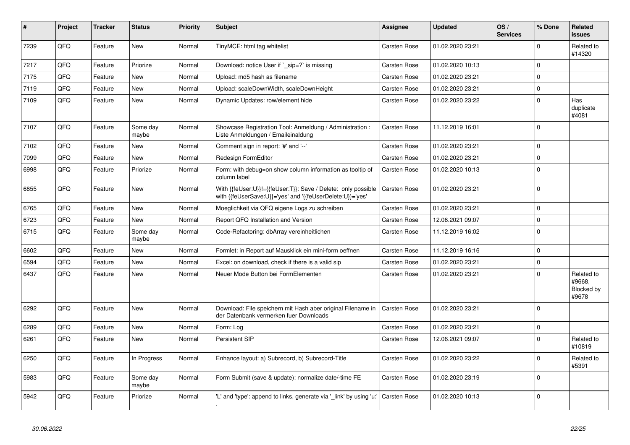| #    | Project | <b>Tracker</b> | <b>Status</b>     | <b>Priority</b> | <b>Subject</b>                                                                                                             | Assignee            | <b>Updated</b>   | OS/<br><b>Services</b> | % Done              | Related<br><b>issues</b>                    |
|------|---------|----------------|-------------------|-----------------|----------------------------------------------------------------------------------------------------------------------------|---------------------|------------------|------------------------|---------------------|---------------------------------------------|
| 7239 | QFQ     | Feature        | <b>New</b>        | Normal          | TinyMCE: html tag whitelist                                                                                                | <b>Carsten Rose</b> | 01.02.2020 23:21 |                        | $\Omega$            | Related to<br>#14320                        |
| 7217 | QFQ     | Feature        | Priorize          | Normal          | Download: notice User if ` sip=?` is missing                                                                               | Carsten Rose        | 01.02.2020 10:13 |                        | $\mathbf 0$         |                                             |
| 7175 | QFQ     | Feature        | <b>New</b>        | Normal          | Upload: md5 hash as filename                                                                                               | <b>Carsten Rose</b> | 01.02.2020 23:21 |                        | $\mathbf 0$         |                                             |
| 7119 | QFQ     | Feature        | <b>New</b>        | Normal          | Upload: scaleDownWidth, scaleDownHeight                                                                                    | Carsten Rose        | 01.02.2020 23:21 |                        | $\mathbf 0$         |                                             |
| 7109 | QFQ     | Feature        | <b>New</b>        | Normal          | Dynamic Updates: row/element hide                                                                                          | Carsten Rose        | 01.02.2020 23:22 |                        | $\mathbf 0$         | Has<br>duplicate<br>#4081                   |
| 7107 | QFQ     | Feature        | Some day<br>maybe | Normal          | Showcase Registration Tool: Anmeldung / Administration :<br>Liste Anmeldungen / Emaileinaldung                             | Carsten Rose        | 11.12.2019 16:01 |                        | $\mathbf 0$         |                                             |
| 7102 | QFQ     | Feature        | New               | Normal          | Comment sign in report: '#' and '--'                                                                                       | Carsten Rose        | 01.02.2020 23:21 |                        | $\mathbf 0$         |                                             |
| 7099 | QFQ     | Feature        | New               | Normal          | Redesign FormEditor                                                                                                        | <b>Carsten Rose</b> | 01.02.2020 23:21 |                        | $\pmb{0}$           |                                             |
| 6998 | QFQ     | Feature        | Priorize          | Normal          | Form: with debug=on show column information as tooltip of<br>column label                                                  | Carsten Rose        | 01.02.2020 10:13 |                        | $\mathbf 0$         |                                             |
| 6855 | QFQ     | Feature        | <b>New</b>        | Normal          | With {{feUser:U}}!={{feUser:T}}: Save / Delete: only possible<br>with {{feUserSave:U}}='yes' and '{{feUserDelete:U}}='yes' | <b>Carsten Rose</b> | 01.02.2020 23:21 |                        | $\mathbf 0$         |                                             |
| 6765 | QFQ     | Feature        | <b>New</b>        | Normal          | Moeglichkeit via QFQ eigene Logs zu schreiben                                                                              | Carsten Rose        | 01.02.2020 23:21 |                        | $\Omega$            |                                             |
| 6723 | QFQ     | Feature        | <b>New</b>        | Normal          | Report QFQ Installation and Version                                                                                        | Carsten Rose        | 12.06.2021 09:07 |                        | $\mathbf 0$         |                                             |
| 6715 | QFQ     | Feature        | Some day<br>maybe | Normal          | Code-Refactoring: dbArray vereinheitlichen                                                                                 | <b>Carsten Rose</b> | 11.12.2019 16:02 |                        | $\mathbf 0$         |                                             |
| 6602 | QFQ     | Feature        | <b>New</b>        | Normal          | Formlet: in Report auf Mausklick ein mini-form oeffnen                                                                     | Carsten Rose        | 11.12.2019 16:16 |                        | $\mathbf 0$         |                                             |
| 6594 | QFQ     | Feature        | New               | Normal          | Excel: on download, check if there is a valid sip                                                                          | Carsten Rose        | 01.02.2020 23:21 |                        | $\mathbf 0$         |                                             |
| 6437 | QFQ     | Feature        | <b>New</b>        | Normal          | Neuer Mode Button bei FormElementen                                                                                        | <b>Carsten Rose</b> | 01.02.2020 23:21 |                        | $\Omega$            | Related to<br>#9668.<br>Blocked by<br>#9678 |
| 6292 | QFQ     | Feature        | <b>New</b>        | Normal          | Download: File speichern mit Hash aber original Filename in<br>der Datenbank vermerken fuer Downloads                      | <b>Carsten Rose</b> | 01.02.2020 23:21 |                        | $\mathbf 0$         |                                             |
| 6289 | QFQ     | Feature        | <b>New</b>        | Normal          | Form: Log                                                                                                                  | Carsten Rose        | 01.02.2020 23:21 |                        | $\mathsf{O}\xspace$ |                                             |
| 6261 | QFQ     | Feature        | <b>New</b>        | Normal          | Persistent SIP                                                                                                             | Carsten Rose        | 12.06.2021 09:07 |                        | $\mathbf 0$         | Related to<br>#10819                        |
| 6250 | QFQ     | Feature        | In Progress       | Normal          | Enhance layout: a) Subrecord, b) Subrecord-Title                                                                           | Carsten Rose        | 01.02.2020 23:22 |                        | $\mathbf 0$         | Related to<br>#5391                         |
| 5983 | QFQ     | Feature        | Some day<br>maybe | Normal          | Form Submit (save & update): normalize date/-time FE                                                                       | Carsten Rose        | 01.02.2020 23:19 |                        | $\mathbf 0$         |                                             |
| 5942 | QFQ     | Feature        | Priorize          | Normal          | 'L' and 'type': append to links, generate via '_link' by using 'u:'                                                        | <b>Carsten Rose</b> | 01.02.2020 10:13 |                        | $\Omega$            |                                             |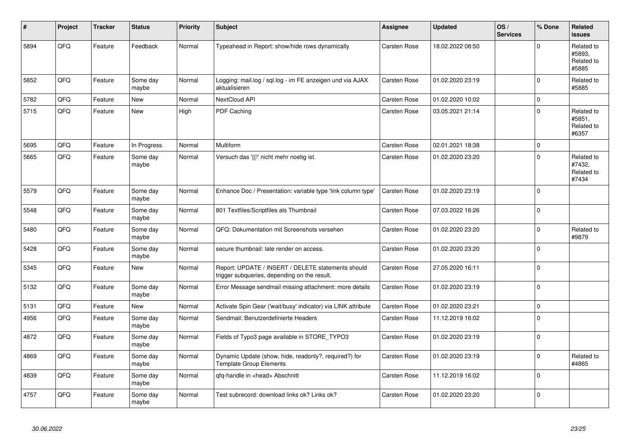| #    | Project | <b>Tracker</b> | <b>Status</b>     | <b>Priority</b> | <b>Subject</b>                                                                                     | Assignee            | <b>Updated</b>   | OS/<br><b>Services</b> | % Done      | <b>Related</b><br><b>issues</b>             |
|------|---------|----------------|-------------------|-----------------|----------------------------------------------------------------------------------------------------|---------------------|------------------|------------------------|-------------|---------------------------------------------|
| 5894 | QFQ     | Feature        | Feedback          | Normal          | Typeahead in Report: show/hide rows dynamically                                                    | Carsten Rose        | 18.02.2022 08:50 |                        | $\mathbf 0$ | Related to<br>#5893.<br>Related to<br>#5885 |
| 5852 | QFQ     | Feature        | Some day<br>maybe | Normal          | Logging: mail.log / sql.log - im FE anzeigen und via AJAX<br>aktualisieren                         | Carsten Rose        | 01.02.2020 23:19 |                        | $\mathbf 0$ | Related to<br>#5885                         |
| 5782 | QFQ     | Feature        | New               | Normal          | <b>NextCloud API</b>                                                                               | Carsten Rose        | 01.02.2020 10:02 |                        | $\mathbf 0$ |                                             |
| 5715 | QFQ     | Feature        | <b>New</b>        | High            | PDF Caching                                                                                        | Carsten Rose        | 03.05.2021 21:14 |                        | $\mathbf 0$ | Related to<br>#5851.<br>Related to<br>#6357 |
| 5695 | QFQ     | Feature        | In Progress       | Normal          | Multiform                                                                                          | Carsten Rose        | 02.01.2021 18:38 |                        | $\pmb{0}$   |                                             |
| 5665 | QFQ     | Feature        | Some day<br>maybe | Normal          | Versuch das '{{!' nicht mehr noetig ist.                                                           | Carsten Rose        | 01.02.2020 23:20 |                        | $\mathbf 0$ | Related to<br>#7432,<br>Related to<br>#7434 |
| 5579 | QFQ     | Feature        | Some day<br>maybe | Normal          | Enhance Doc / Presentation: variable type 'link column type'                                       | <b>Carsten Rose</b> | 01.02.2020 23:19 |                        | $\Omega$    |                                             |
| 5548 | QFQ     | Feature        | Some day<br>maybe | Normal          | 801 Textfiles/Scriptfiles als Thumbnail                                                            | Carsten Rose        | 07.03.2022 16:26 |                        | $\mathbf 0$ |                                             |
| 5480 | QFQ     | Feature        | Some day<br>maybe | Normal          | QFQ: Dokumentation mit Screenshots versehen                                                        | Carsten Rose        | 01.02.2020 23:20 |                        | $\mathbf 0$ | Related to<br>#9879                         |
| 5428 | QFQ     | Feature        | Some day<br>maybe | Normal          | secure thumbnail: late render on access.                                                           | Carsten Rose        | 01.02.2020 23:20 |                        | $\mathbf 0$ |                                             |
| 5345 | QFQ     | Feature        | New               | Normal          | Report: UPDATE / INSERT / DELETE statements should<br>trigger subqueries, depending on the result. | Carsten Rose        | 27.05.2020 16:11 |                        | $\pmb{0}$   |                                             |
| 5132 | QFQ     | Feature        | Some day<br>maybe | Normal          | Error Message sendmail missing attachment: more details                                            | Carsten Rose        | 01.02.2020 23:19 |                        | $\mathbf 0$ |                                             |
| 5131 | QFQ     | Feature        | New               | Normal          | Activate Spin Gear ('wait/busy' indicator) via LINK attribute                                      | Carsten Rose        | 01.02.2020 23:21 |                        | $\mathbf 0$ |                                             |
| 4956 | QFQ     | Feature        | Some day<br>maybe | Normal          | Sendmail: Benutzerdefinierte Headers                                                               | Carsten Rose        | 11.12.2019 16:02 |                        | $\mathbf 0$ |                                             |
| 4872 | QFQ     | Feature        | Some day<br>maybe | Normal          | Fields of Typo3 page available in STORE_TYPO3                                                      | Carsten Rose        | 01.02.2020 23:19 |                        | $\mathbf 0$ |                                             |
| 4869 | QFQ     | Feature        | Some day<br>maybe | Normal          | Dynamic Update (show, hide, readonly?, required?) for<br><b>Template Group Elements</b>            | Carsten Rose        | 01.02.2020 23:19 |                        | $\mathbf 0$ | Related to<br>#4865                         |
| 4839 | QFQ     | Feature        | Some day<br>maybe | Normal          | qfq-handle in <head> Abschnitt</head>                                                              | Carsten Rose        | 11.12.2019 16:02 |                        | $\mathbf 0$ |                                             |
| 4757 | QFQ     | Feature        | Some day<br>maybe | Normal          | Test subrecord: download links ok? Links ok?                                                       | Carsten Rose        | 01.02.2020 23:20 |                        | $\mathbf 0$ |                                             |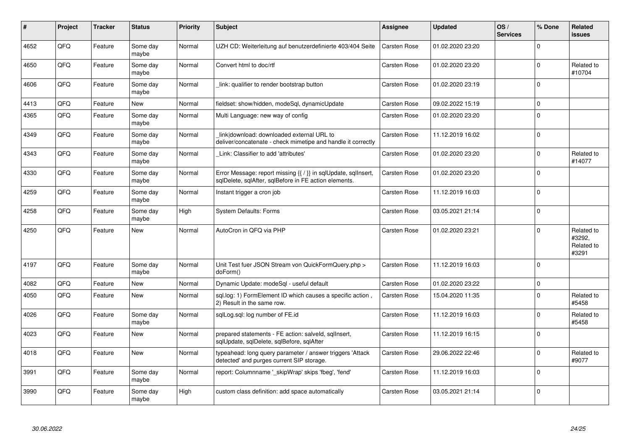| $\pmb{\sharp}$ | Project | <b>Tracker</b> | <b>Status</b>     | <b>Priority</b> | <b>Subject</b>                                                                                                          | Assignee            | <b>Updated</b>   | OS/<br><b>Services</b> | % Done   | Related<br>issues                           |
|----------------|---------|----------------|-------------------|-----------------|-------------------------------------------------------------------------------------------------------------------------|---------------------|------------------|------------------------|----------|---------------------------------------------|
| 4652           | QFQ     | Feature        | Some day<br>maybe | Normal          | UZH CD: Weiterleitung auf benutzerdefinierte 403/404 Seite                                                              | <b>Carsten Rose</b> | 01.02.2020 23:20 |                        | $\Omega$ |                                             |
| 4650           | QFQ     | Feature        | Some day<br>maybe | Normal          | Convert html to doc/rtf                                                                                                 | <b>Carsten Rose</b> | 01.02.2020 23:20 |                        | $\Omega$ | Related to<br>#10704                        |
| 4606           | QFQ     | Feature        | Some day<br>maybe | Normal          | link: qualifier to render bootstrap button                                                                              | Carsten Rose        | 01.02.2020 23:19 |                        | $\Omega$ |                                             |
| 4413           | QFQ     | Feature        | <b>New</b>        | Normal          | fieldset: show/hidden, modeSql, dynamicUpdate                                                                           | <b>Carsten Rose</b> | 09.02.2022 15:19 |                        | $\Omega$ |                                             |
| 4365           | QFQ     | Feature        | Some day<br>maybe | Normal          | Multi Language: new way of config                                                                                       | <b>Carsten Rose</b> | 01.02.2020 23:20 |                        | $\Omega$ |                                             |
| 4349           | QFQ     | Feature        | Some day<br>maybe | Normal          | link download: downloaded external URL to<br>deliver/concatenate - check mimetipe and handle it correctly               | <b>Carsten Rose</b> | 11.12.2019 16:02 |                        | $\Omega$ |                                             |
| 4343           | QFQ     | Feature        | Some day<br>maybe | Normal          | Link: Classifier to add 'attributes'                                                                                    | Carsten Rose        | 01.02.2020 23:20 |                        | $\Omega$ | Related to<br>#14077                        |
| 4330           | QFQ     | Feature        | Some day<br>maybe | Normal          | Error Message: report missing {{ / }} in sqlUpdate, sqlInsert,<br>sglDelete, sglAfter, sglBefore in FE action elements. | <b>Carsten Rose</b> | 01.02.2020 23:20 |                        | $\Omega$ |                                             |
| 4259           | QFQ     | Feature        | Some day<br>maybe | Normal          | Instant trigger a cron job                                                                                              | Carsten Rose        | 11.12.2019 16:03 |                        | $\Omega$ |                                             |
| 4258           | QFQ     | Feature        | Some day<br>maybe | High            | <b>System Defaults: Forms</b>                                                                                           | Carsten Rose        | 03.05.2021 21:14 |                        | $\Omega$ |                                             |
| 4250           | QFQ     | Feature        | <b>New</b>        | Normal          | AutoCron in QFQ via PHP                                                                                                 | Carsten Rose        | 01.02.2020 23:21 |                        | $\Omega$ | Related to<br>#3292,<br>Related to<br>#3291 |
| 4197           | QFQ     | Feature        | Some day<br>maybe | Normal          | Unit Test fuer JSON Stream von QuickFormQuery.php ><br>doForm()                                                         | Carsten Rose        | 11.12.2019 16:03 |                        | $\Omega$ |                                             |
| 4082           | QFQ     | Feature        | New               | Normal          | Dynamic Update: modeSql - useful default                                                                                | <b>Carsten Rose</b> | 01.02.2020 23:22 |                        | $\Omega$ |                                             |
| 4050           | QFQ     | Feature        | <b>New</b>        | Normal          | sql.log: 1) FormElement ID which causes a specific action,<br>2) Result in the same row.                                | <b>Carsten Rose</b> | 15.04.2020 11:35 |                        | $\Omega$ | Related to<br>#5458                         |
| 4026           | QFQ     | Feature        | Some day<br>maybe | Normal          | sqlLog.sql: log number of FE.id                                                                                         | <b>Carsten Rose</b> | 11.12.2019 16:03 |                        | $\Omega$ | Related to<br>#5458                         |
| 4023           | QFQ     | Feature        | New               | Normal          | prepared statements - FE action: salveld, sqllnsert,<br>sqlUpdate, sqlDelete, sqlBefore, sqlAfter                       | <b>Carsten Rose</b> | 11.12.2019 16:15 |                        | $\Omega$ |                                             |
| 4018           | QFQ     | Feature        | <b>New</b>        | Normal          | typeahead: long query parameter / answer triggers 'Attack<br>detected' and purges current SIP storage.                  | <b>Carsten Rose</b> | 29.06.2022 22:46 |                        | $\Omega$ | Related to<br>#9077                         |
| 3991           | QFQ     | Feature        | Some day<br>maybe | Normal          | report: Columnname '_skipWrap' skips 'fbeg', 'fend'                                                                     | <b>Carsten Rose</b> | 11.12.2019 16:03 |                        | $\Omega$ |                                             |
| 3990           | QFQ     | Feature        | Some day<br>maybe | High            | custom class definition: add space automatically                                                                        | <b>Carsten Rose</b> | 03.05.2021 21:14 |                        | $\Omega$ |                                             |